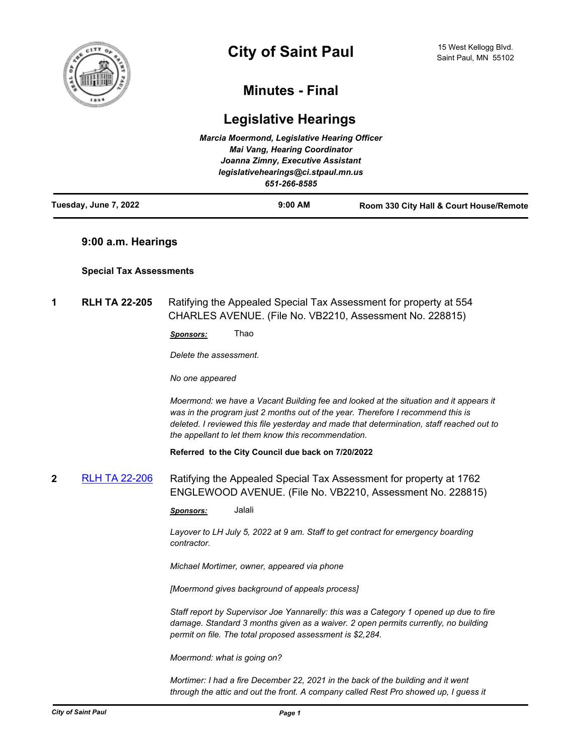

# **Minutes - Final**

# **Legislative Hearings**

| Tuesday, June 7, 2022 | $9:00$ AM                                           | Room 330 City Hall & Court House/Remote |
|-----------------------|-----------------------------------------------------|-----------------------------------------|
|                       | legislativehearings@ci.stpaul.mn.us<br>651-266-8585 |                                         |
|                       | Joanna Zimny, Executive Assistant                   |                                         |
|                       | <b>Mai Vang, Hearing Coordinator</b>                |                                         |
|                       | <b>Marcia Moermond, Legislative Hearing Officer</b> |                                         |

# **9:00 a.m. Hearings**

## **Special Tax Assessments**

**1 RLH TA 22-205** Ratifying the Appealed Special Tax Assessment for property at 554 CHARLES AVENUE. (File No. VB2210, Assessment No. 228815)

*Sponsors:* Thao

*Delete the assessment.* 

*No one appeared*

*Moermond: we have a Vacant Building fee and looked at the situation and it appears it*  was in the program just 2 months out of the year. Therefore I recommend this is *deleted. I reviewed this file yesterday and made that determination, staff reached out to the appellant to let them know this recommendation.*

**Referred to the City Council due back on 7/20/2022**

**2** [RLH TA 22-206](http://stpaul.legistar.com/gateway.aspx?m=l&id=/matter.aspx?key=41927) Ratifying the Appealed Special Tax Assessment for property at 1762 ENGLEWOOD AVENUE. (File No. VB2210, Assessment No. 228815)

*Sponsors:* Jalali

*Layover to LH July 5, 2022 at 9 am. Staff to get contract for emergency boarding contractor.* 

*Michael Mortimer, owner, appeared via phone*

*[Moermond gives background of appeals process]*

*Staff report by Supervisor Joe Yannarelly: this was a Category 1 opened up due to fire damage. Standard 3 months given as a waiver. 2 open permits currently, no building permit on file. The total proposed assessment is \$2,284.* 

*Moermond: what is going on?*

*Mortimer: I had a fire December 22, 2021 in the back of the building and it went through the attic and out the front. A company called Rest Pro showed up, I guess it*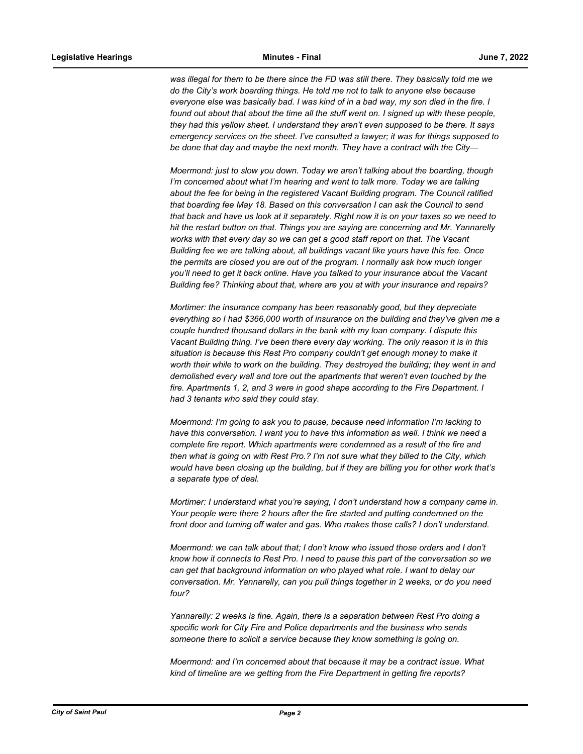was illegal for them to be there since the FD was still there. They basically told me we *do the City's work boarding things. He told me not to talk to anyone else because everyone else was basically bad. I was kind of in a bad way, my son died in the fire. I*  found out about that about the time all the stuff went on. I signed up with these people, *they had this yellow sheet. I understand they aren't even supposed to be there. It says emergency services on the sheet. I've consulted a lawyer; it was for things supposed to be done that day and maybe the next month. They have a contract with the City—*

*Moermond: just to slow you down. Today we aren't talking about the boarding, though I'm concerned about what I'm hearing and want to talk more. Today we are talking about the fee for being in the registered Vacant Building program. The Council ratified that boarding fee May 18. Based on this conversation I can ask the Council to send that back and have us look at it separately. Right now it is on your taxes so we need to hit the restart button on that. Things you are saying are concerning and Mr. Yannarelly works with that every day so we can get a good staff report on that. The Vacant Building fee we are talking about, all buildings vacant like yours have this fee. Once the permits are closed you are out of the program. I normally ask how much longer you'll need to get it back online. Have you talked to your insurance about the Vacant Building fee? Thinking about that, where are you at with your insurance and repairs?*

*Mortimer: the insurance company has been reasonably good, but they depreciate everything so I had \$366,000 worth of insurance on the building and they've given me a couple hundred thousand dollars in the bank with my loan company. I dispute this Vacant Building thing. I've been there every day working. The only reason it is in this situation is because this Rest Pro company couldn't get enough money to make it worth their while to work on the building. They destroyed the building; they went in and demolished every wall and tore out the apartments that weren't even touched by the fire. Apartments 1, 2, and 3 were in good shape according to the Fire Department. I had 3 tenants who said they could stay.* 

*Moermond: I'm going to ask you to pause, because need information I'm lacking to have this conversation. I want you to have this information as well. I think we need a complete fire report. Which apartments were condemned as a result of the fire and then what is going on with Rest Pro.? I'm not sure what they billed to the City, which would have been closing up the building, but if they are billing you for other work that's a separate type of deal.*

*Mortimer: I understand what you're saying, I don't understand how a company came in. Your people were there 2 hours after the fire started and putting condemned on the front door and turning off water and gas. Who makes those calls? I don't understand.*

*Moermond: we can talk about that; I don't know who issued those orders and I don't know how it connects to Rest Pro. I need to pause this part of the conversation so we can get that background information on who played what role. I want to delay our conversation. Mr. Yannarelly, can you pull things together in 2 weeks, or do you need four?* 

*Yannarelly: 2 weeks is fine. Again, there is a separation between Rest Pro doing a specific work for City Fire and Police departments and the business who sends someone there to solicit a service because they know something is going on.*

*Moermond: and I'm concerned about that because it may be a contract issue. What kind of timeline are we getting from the Fire Department in getting fire reports?*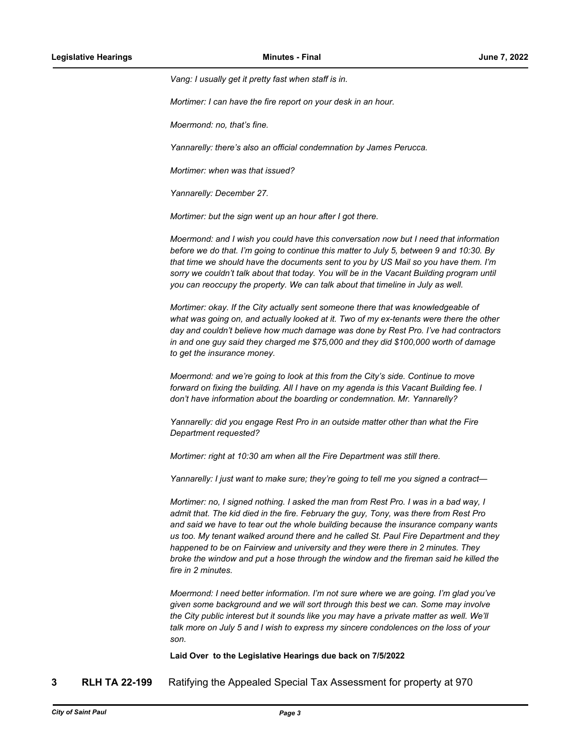*Vang: I usually get it pretty fast when staff is in.* 

*Mortimer: I can have the fire report on your desk in an hour.*

*Moermond: no, that's fine.* 

*Yannarelly: there's also an official condemnation by James Perucca.*

*Mortimer: when was that issued?*

*Yannarelly: December 27.*

*Mortimer: but the sign went up an hour after I got there.* 

*Moermond: and I wish you could have this conversation now but I need that information before we do that. I'm going to continue this matter to July 5, between 9 and 10:30. By that time we should have the documents sent to you by US Mail so you have them. I'm sorry we couldn't talk about that today. You will be in the Vacant Building program until you can reoccupy the property. We can talk about that timeline in July as well.* 

*Mortimer: okay. If the City actually sent someone there that was knowledgeable of*  what was going on, and actually looked at it. Two of my ex-tenants were there the other *day and couldn't believe how much damage was done by Rest Pro. I've had contractors in and one guy said they charged me \$75,000 and they did \$100,000 worth of damage to get the insurance money.* 

*Moermond: and we're going to look at this from the City's side. Continue to move forward on fixing the building. All I have on my agenda is this Vacant Building fee. I don't have information about the boarding or condemnation. Mr. Yannarelly?*

*Yannarelly: did you engage Rest Pro in an outside matter other than what the Fire Department requested?*

*Mortimer: right at 10:30 am when all the Fire Department was still there.*

*Yannarelly: I just want to make sure; they're going to tell me you signed a contract—*

*Mortimer: no, I signed nothing. I asked the man from Rest Pro. I was in a bad way, I admit that. The kid died in the fire. February the guy, Tony, was there from Rest Pro and said we have to tear out the whole building because the insurance company wants us too. My tenant walked around there and he called St. Paul Fire Department and they happened to be on Fairview and university and they were there in 2 minutes. They broke the window and put a hose through the window and the fireman said he killed the fire in 2 minutes.* 

*Moermond: I need better information. I'm not sure where we are going. I'm glad you've given some background and we will sort through this best we can. Some may involve the City public interest but it sounds like you may have a private matter as well. We'll talk more on July 5 and I wish to express my sincere condolences on the loss of your son.*

**Laid Over to the Legislative Hearings due back on 7/5/2022**

**3 RLH TA 22-199** Ratifying the Appealed Special Tax Assessment for property at 970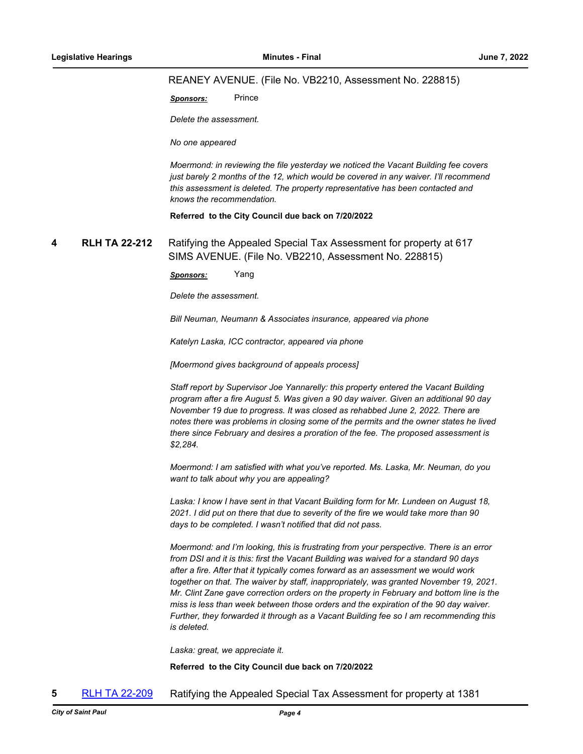#### REANEY AVENUE. (File No. VB2210, Assessment No. 228815)

**Sponsors:** Prince

*Delete the assessment.* 

*No one appeared*

*Moermond: in reviewing the file yesterday we noticed the Vacant Building fee covers just barely 2 months of the 12, which would be covered in any waiver. I'll recommend this assessment is deleted. The property representative has been contacted and knows the recommendation.*

**Referred to the City Council due back on 7/20/2022**

**4 RLH TA 22-212** Ratifying the Appealed Special Tax Assessment for property at 617 SIMS AVENUE. (File No. VB2210, Assessment No. 228815)

*Sponsors:* Yang

*Delete the assessment.* 

*Bill Neuman, Neumann & Associates insurance, appeared via phone*

*Katelyn Laska, ICC contractor, appeared via phone*

*[Moermond gives background of appeals process]*

*Staff report by Supervisor Joe Yannarelly: this property entered the Vacant Building program after a fire August 5. Was given a 90 day waiver. Given an additional 90 day November 19 due to progress. It was closed as rehabbed June 2, 2022. There are notes there was problems in closing some of the permits and the owner states he lived there since February and desires a proration of the fee. The proposed assessment is \$2,284.* 

*Moermond: I am satisfied with what you've reported. Ms. Laska, Mr. Neuman, do you want to talk about why you are appealing?*

*Laska: I know I have sent in that Vacant Building form for Mr. Lundeen on August 18, 2021. I did put on there that due to severity of the fire we would take more than 90 days to be completed. I wasn't notified that did not pass.*

*Moermond: and I'm looking, this is frustrating from your perspective. There is an error from DSI and it is this: first the Vacant Building was waived for a standard 90 days after a fire. After that it typically comes forward as an assessment we would work together on that. The waiver by staff, inappropriately, was granted November 19, 2021. Mr. Clint Zane gave correction orders on the property in February and bottom line is the miss is less than week between those orders and the expiration of the 90 day waiver. Further, they forwarded it through as a Vacant Building fee so I am recommending this is deleted.* 

*Laska: great, we appreciate it.*

**Referred to the City Council due back on 7/20/2022**

**5** [RLH TA 22-209](http://stpaul.legistar.com/gateway.aspx?m=l&id=/matter.aspx?key=41954) Ratifying the Appealed Special Tax Assessment for property at 1381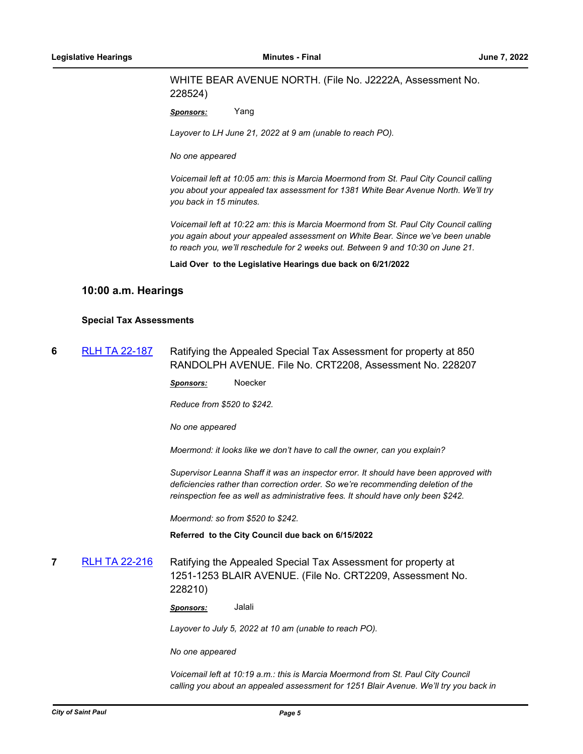## WHITE BEAR AVENUE NORTH. (File No. J2222A, Assessment No. 228524)

*Sponsors:* Yang

*Layover to LH June 21, 2022 at 9 am (unable to reach PO).* 

*No one appeared*

*Voicemail left at 10:05 am: this is Marcia Moermond from St. Paul City Council calling you about your appealed tax assessment for 1381 White Bear Avenue North. We'll try you back in 15 minutes.* 

*Voicemail left at 10:22 am: this is Marcia Moermond from St. Paul City Council calling you again about your appealed assessment on White Bear. Since we've been unable to reach you, we'll reschedule for 2 weeks out. Between 9 and 10:30 on June 21.*

**Laid Over to the Legislative Hearings due back on 6/21/2022**

## **10:00 a.m. Hearings**

#### **Special Tax Assessments**

**6** [RLH TA 22-187](http://stpaul.legistar.com/gateway.aspx?m=l&id=/matter.aspx?key=41781) Ratifying the Appealed Special Tax Assessment for property at 850 RANDOLPH AVENUE. File No. CRT2208, Assessment No. 228207

*Sponsors:* Noecker

*Reduce from \$520 to \$242.*

*No one appeared*

*Moermond: it looks like we don't have to call the owner, can you explain?*

*Supervisor Leanna Shaff it was an inspector error. It should have been approved with deficiencies rather than correction order. So we're recommending deletion of the reinspection fee as well as administrative fees. It should have only been \$242.* 

*Moermond: so from \$520 to \$242.*

**Referred to the City Council due back on 6/15/2022**

**7** [RLH TA 22-216](http://stpaul.legistar.com/gateway.aspx?m=l&id=/matter.aspx?key=41997) Ratifying the Appealed Special Tax Assessment for property at 1251-1253 BLAIR AVENUE. (File No. CRT2209, Assessment No. 228210)

*Sponsors:* Jalali

*Layover to July 5, 2022 at 10 am (unable to reach PO).* 

*No one appeared*

Voicemail left at 10:19 a.m.: this is Marcia Moermond from St. Paul City Council *calling you about an appealed assessment for 1251 Blair Avenue. We'll try you back in*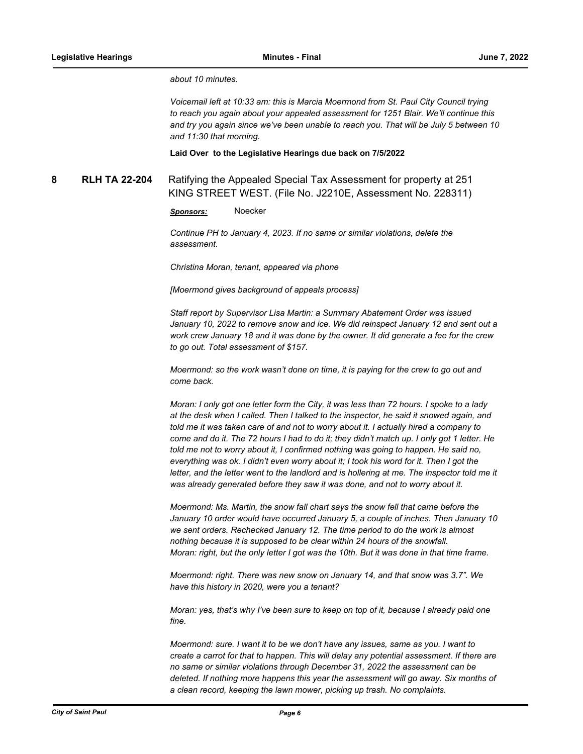*about 10 minutes.* 

*Voicemail left at 10:33 am: this is Marcia Moermond from St. Paul City Council trying to reach you again about your appealed assessment for 1251 Blair. We'll continue this and try you again since we've been unable to reach you. That will be July 5 between 10 and 11:30 that morning.*

**Laid Over to the Legislative Hearings due back on 7/5/2022**

**8 RLH TA 22-204** Ratifying the Appealed Special Tax Assessment for property at 251 KING STREET WEST. (File No. J2210E, Assessment No. 228311)

*Sponsors:* Noecker

*Continue PH to January 4, 2023. If no same or similar violations, delete the assessment.* 

*Christina Moran, tenant, appeared via phone*

*[Moermond gives background of appeals process]*

*Staff report by Supervisor Lisa Martin: a Summary Abatement Order was issued January 10, 2022 to remove snow and ice. We did reinspect January 12 and sent out a work crew January 18 and it was done by the owner. It did generate a fee for the crew to go out. Total assessment of \$157.*

*Moermond: so the work wasn't done on time, it is paying for the crew to go out and come back.* 

*Moran: I only got one letter form the City, it was less than 72 hours. I spoke to a lady at the desk when I called. Then I talked to the inspector, he said it snowed again, and told me it was taken care of and not to worry about it. I actually hired a company to come and do it. The 72 hours I had to do it; they didn't match up. I only got 1 letter. He told me not to worry about it, I confirmed nothing was going to happen. He said no, everything was ok. I didn't even worry about it; I took his word for it. Then I got the*  letter, and the letter went to the landlord and is hollering at me. The inspector told me it *was already generated before they saw it was done, and not to worry about it.* 

*Moermond: Ms. Martin, the snow fall chart says the snow fell that came before the January 10 order would have occurred January 5, a couple of inches. Then January 10 we sent orders. Rechecked January 12. The time period to do the work is almost nothing because it is supposed to be clear within 24 hours of the snowfall. Moran: right, but the only letter I got was the 10th. But it was done in that time frame.*

*Moermond: right. There was new snow on January 14, and that snow was 3.7". We have this history in 2020, were you a tenant?*

*Moran: yes, that's why I've been sure to keep on top of it, because I already paid one fine.* 

*Moermond: sure. I want it to be we don't have any issues, same as you. I want to create a carrot for that to happen. This will delay any potential assessment. If there are no same or similar violations through December 31, 2022 the assessment can be*  deleted. If nothing more happens this year the assessment will go away. Six months of *a clean record, keeping the lawn mower, picking up trash. No complaints.*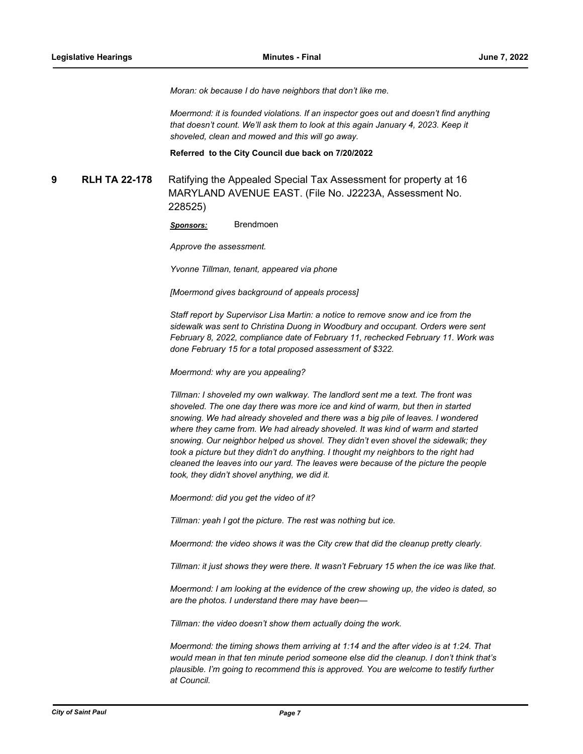*Moran: ok because I do have neighbors that don't like me.*

*Moermond: it is founded violations. If an inspector goes out and doesn't find anything that doesn't count. We'll ask them to look at this again January 4, 2023. Keep it shoveled, clean and mowed and this will go away.*

**Referred to the City Council due back on 7/20/2022**

**9 RLH TA 22-178** Ratifying the Appealed Special Tax Assessment for property at 16 MARYLAND AVENUE EAST. (File No. J2223A, Assessment No. 228525)

*Sponsors:* Brendmoen

*Approve the assessment.* 

*Yvonne Tillman, tenant, appeared via phone*

*[Moermond gives background of appeals process]*

*Staff report by Supervisor Lisa Martin: a notice to remove snow and ice from the sidewalk was sent to Christina Duong in Woodbury and occupant. Orders were sent February 8, 2022, compliance date of February 11, rechecked February 11. Work was done February 15 for a total proposed assessment of \$322.*

*Moermond: why are you appealing?* 

*Tillman: I shoveled my own walkway. The landlord sent me a text. The front was shoveled. The one day there was more ice and kind of warm, but then in started snowing. We had already shoveled and there was a big pile of leaves. I wondered where they came from. We had already shoveled. It was kind of warm and started snowing. Our neighbor helped us shovel. They didn't even shovel the sidewalk; they took a picture but they didn't do anything. I thought my neighbors to the right had cleaned the leaves into our yard. The leaves were because of the picture the people took, they didn't shovel anything, we did it.*

*Moermond: did you get the video of it?*

*Tillman: yeah I got the picture. The rest was nothing but ice.* 

*Moermond: the video shows it was the City crew that did the cleanup pretty clearly.*

*Tillman: it just shows they were there. It wasn't February 15 when the ice was like that.* 

*Moermond: I am looking at the evidence of the crew showing up, the video is dated, so are the photos. I understand there may have been—*

*Tillman: the video doesn't show them actually doing the work.*

*Moermond: the timing shows them arriving at 1:14 and the after video is at 1:24. That would mean in that ten minute period someone else did the cleanup. I don't think that's plausible. I'm going to recommend this is approved. You are welcome to testify further at Council.*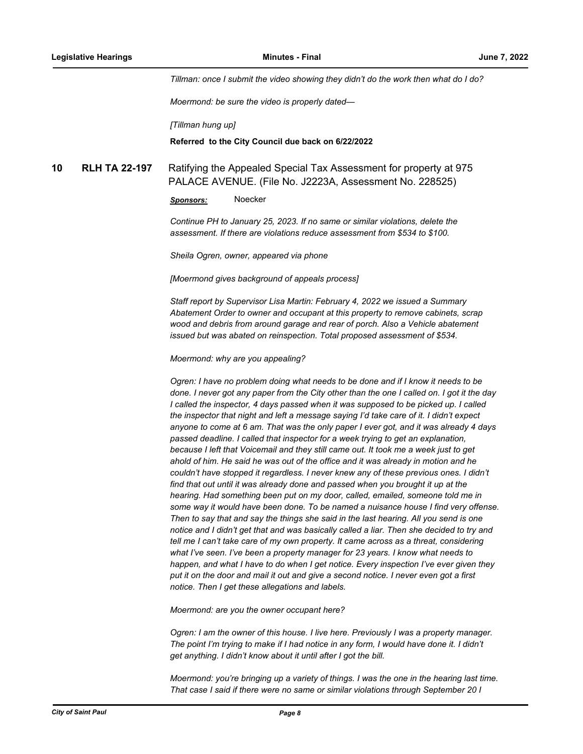*Tillman: once I submit the video showing they didn't do the work then what do I do?*

*Moermond: be sure the video is properly dated—*

*[Tillman hung up]*

#### **Referred to the City Council due back on 6/22/2022**

**10 RLH TA 22-197** Ratifying the Appealed Special Tax Assessment for property at 975 PALACE AVENUE. (File No. J2223A, Assessment No. 228525)

*Sponsors:* Noecker

*Continue PH to January 25, 2023. If no same or similar violations, delete the assessment. If there are violations reduce assessment from \$534 to \$100.* 

*Sheila Ogren, owner, appeared via phone*

*[Moermond gives background of appeals process]*

*Staff report by Supervisor Lisa Martin: February 4, 2022 we issued a Summary Abatement Order to owner and occupant at this property to remove cabinets, scrap wood and debris from around garage and rear of porch. Also a Vehicle abatement issued but was abated on reinspection. Total proposed assessment of \$534.* 

*Moermond: why are you appealing?* 

*Ogren: I have no problem doing what needs to be done and if I know it needs to be done. I never got any paper from the City other than the one I called on. I got it the day I called the inspector, 4 days passed when it was supposed to be picked up. I called the inspector that night and left a message saying I'd take care of it. I didn't expect anyone to come at 6 am. That was the only paper I ever got, and it was already 4 days passed deadline. I called that inspector for a week trying to get an explanation, because I left that Voicemail and they still came out. It took me a week just to get ahold of him. He said he was out of the office and it was already in motion and he couldn't have stopped it regardless. I never knew any of these previous ones. I didn't find that out until it was already done and passed when you brought it up at the hearing. Had something been put on my door, called, emailed, someone told me in some way it would have been done. To be named a nuisance house I find very offense. Then to say that and say the things she said in the last hearing. All you send is one notice and I didn't get that and was basically called a liar. Then she decided to try and tell me I can't take care of my own property. It came across as a threat, considering what I've seen. I've been a property manager for 23 years. I know what needs to happen, and what I have to do when I get notice. Every inspection I've ever given they put it on the door and mail it out and give a second notice. I never even got a first notice. Then I get these allegations and labels.*

*Moermond: are you the owner occupant here?* 

*Ogren: I am the owner of this house. I live here. Previously I was a property manager. The point I'm trying to make if I had notice in any form, I would have done it. I didn't get anything. I didn't know about it until after I got the bill.* 

*Moermond: you're bringing up a variety of things. I was the one in the hearing last time. That case I said if there were no same or similar violations through September 20 I*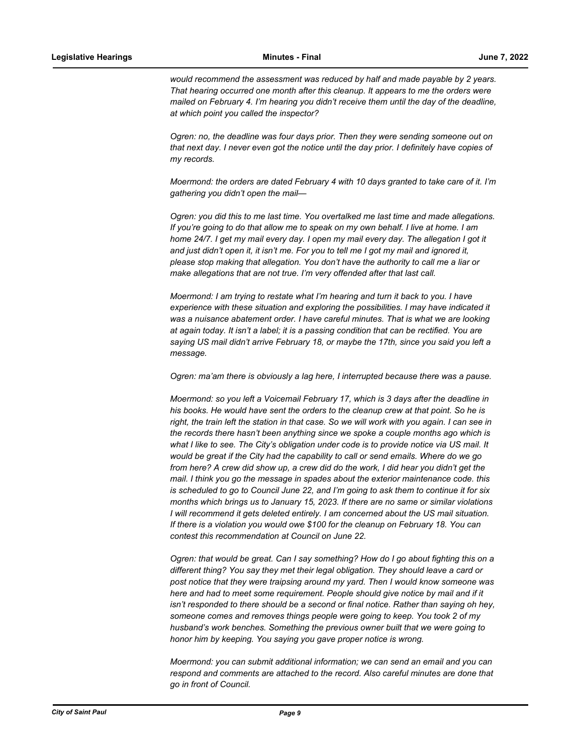*would recommend the assessment was reduced by half and made payable by 2 years. That hearing occurred one month after this cleanup. It appears to me the orders were mailed on February 4. I'm hearing you didn't receive them until the day of the deadline, at which point you called the inspector?*

*Ogren: no, the deadline was four days prior. Then they were sending someone out on that next day. I never even got the notice until the day prior. I definitely have copies of my records.*

*Moermond: the orders are dated February 4 with 10 days granted to take care of it. I'm gathering you didn't open the mail—*

*Ogren: you did this to me last time. You overtalked me last time and made allegations. If you're going to do that allow me to speak on my own behalf. I live at home. I am home 24/7. I get my mail every day. I open my mail every day. The allegation I got it and just didn't open it, it isn't me. For you to tell me I got my mail and ignored it, please stop making that allegation. You don't have the authority to call me a liar or make allegations that are not true. I'm very offended after that last call.*

*Moermond: I am trying to restate what I'm hearing and turn it back to you. I have experience with these situation and exploring the possibilities. I may have indicated it*  was a nuisance abatement order. I have careful minutes. That is what we are looking *at again today. It isn't a label; it is a passing condition that can be rectified. You are saying US mail didn't arrive February 18, or maybe the 17th, since you said you left a message.* 

*Ogren: ma'am there is obviously a lag here, I interrupted because there was a pause.* 

*Moermond: so you left a Voicemail February 17, which is 3 days after the deadline in his books. He would have sent the orders to the cleanup crew at that point. So he is right, the train left the station in that case. So we will work with you again. I can see in the records there hasn't been anything since we spoke a couple months ago which is what I like to see. The City's obligation under code is to provide notice via US mail. It would be great if the City had the capability to call or send emails. Where do we go from here? A crew did show up, a crew did do the work, I did hear you didn't get the mail. I think you go the message in spades about the exterior maintenance code. this is scheduled to go to Council June 22, and I'm going to ask them to continue it for six months which brings us to January 15, 2023. If there are no same or similar violations I will recommend it gets deleted entirely. I am concerned about the US mail situation. If there is a violation you would owe \$100 for the cleanup on February 18. You can contest this recommendation at Council on June 22.* 

*Ogren: that would be great. Can I say something? How do I go about fighting this on a different thing? You say they met their legal obligation. They should leave a card or post notice that they were traipsing around my yard. Then I would know someone was here and had to meet some requirement. People should give notice by mail and if it isn't responded to there should be a second or final notice. Rather than saying oh hey, someone comes and removes things people were going to keep. You took 2 of my husband's work benches. Something the previous owner built that we were going to honor him by keeping. You saying you gave proper notice is wrong.* 

*Moermond: you can submit additional information; we can send an email and you can respond and comments are attached to the record. Also careful minutes are done that go in front of Council.*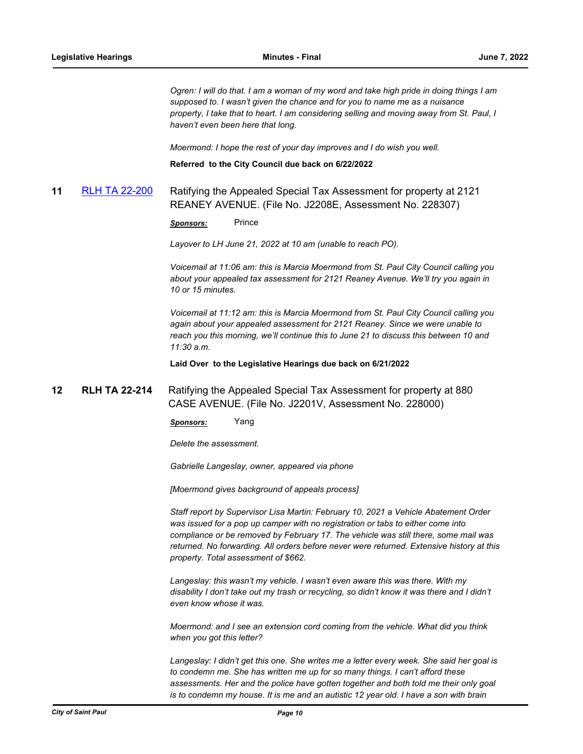*Ogren: I will do that. I am a woman of my word and take high pride in doing things I am supposed to. I wasn't given the chance and for you to name me as a nuisance property, I take that to heart. I am considering selling and moving away from St. Paul, I haven't even been here that long.* 

*Moermond: I hope the rest of your day improves and I do wish you well.*

**Referred to the City Council due back on 6/22/2022**

# **11** [RLH TA 22-200](http://stpaul.legistar.com/gateway.aspx?m=l&id=/matter.aspx?key=41878) Ratifying the Appealed Special Tax Assessment for property at 2121 REANEY AVENUE. (File No. J2208E, Assessment No. 228307)

**Sponsors:** Prince

*Layover to LH June 21, 2022 at 10 am (unable to reach PO).*

*Voicemail at 11:06 am: this is Marcia Moermond from St. Paul City Council calling you about your appealed tax assessment for 2121 Reaney Avenue. We'll try you again in 10 or 15 minutes.* 

*Voicemail at 11:12 am: this is Marcia Moermond from St. Paul City Council calling you again about your appealed assessment for 2121 Reaney. Since we were unable to reach you this morning, we'll continue this to June 21 to discuss this between 10 and 11:30 a.m.*

**Laid Over to the Legislative Hearings due back on 6/21/2022**

# **12 RLH TA 22-214** Ratifying the Appealed Special Tax Assessment for property at 880 CASE AVENUE. (File No. J2201V, Assessment No. 228000)

*Sponsors:* Yang

*Delete the assessment.* 

*Gabrielle Langeslay, owner, appeared via phone*

*[Moermond gives background of appeals process]*

*Staff report by Supervisor Lisa Martin: February 10, 2021 a Vehicle Abatement Order was issued for a pop up camper with no registration or tabs to either come into compliance or be removed by February 17. The vehicle was still there, some mail was returned. No forwarding. All orders before never were returned. Extensive history at this property. Total assessment of \$662.* 

*Langeslay: this wasn't my vehicle. I wasn't even aware this was there. With my disability I don't take out my trash or recycling, so didn't know it was there and I didn't even know whose it was.* 

*Moermond: and I see an extension cord coming from the vehicle. What did you think when you got this letter?*

*Langeslay: I didn't get this one. She writes me a letter every week. She said her goal is to condemn me. She has written me up for so many things. I can't afford these assessments. Her and the police have gotten together and both told me their only goal is to condemn my house. It is me and an autistic 12 year old. I have a son with brain*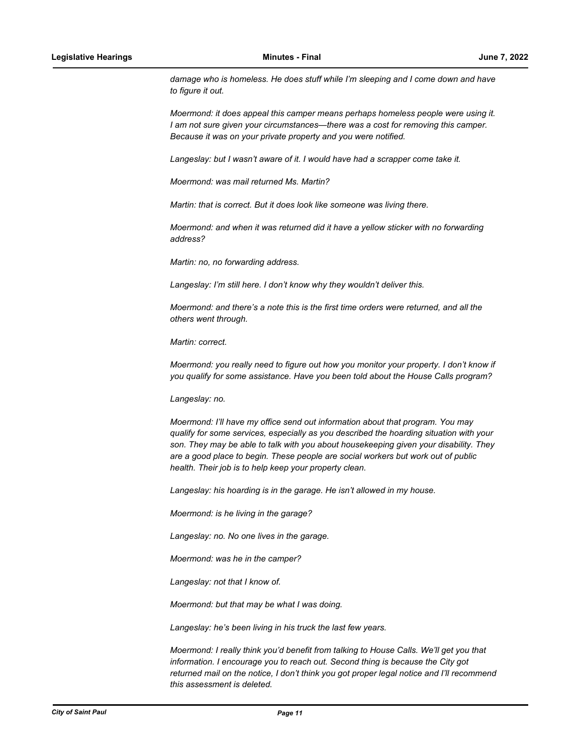*damage who is homeless. He does stuff while I'm sleeping and I come down and have to figure it out.*

*Moermond: it does appeal this camper means perhaps homeless people were using it. I am not sure given your circumstances—there was a cost for removing this camper. Because it was on your private property and you were notified.* 

*Langeslay: but I wasn't aware of it. I would have had a scrapper come take it.*

*Moermond: was mail returned Ms. Martin?*

*Martin: that is correct. But it does look like someone was living there.* 

*Moermond: and when it was returned did it have a yellow sticker with no forwarding address?*

*Martin: no, no forwarding address.*

*Langeslay: I'm still here. I don't know why they wouldn't deliver this.* 

*Moermond: and there's a note this is the first time orders were returned, and all the others went through.* 

*Martin: correct.*

*Moermond: you really need to figure out how you monitor your property. I don't know if you qualify for some assistance. Have you been told about the House Calls program?* 

*Langeslay: no.*

*Moermond: I'll have my office send out information about that program. You may qualify for some services, especially as you described the hoarding situation with your son. They may be able to talk with you about housekeeping given your disability. They are a good place to begin. These people are social workers but work out of public health. Their job is to help keep your property clean.* 

*Langeslay: his hoarding is in the garage. He isn't allowed in my house.* 

*Moermond: is he living in the garage?*

*Langeslay: no. No one lives in the garage.* 

*Moermond: was he in the camper?*

*Langeslay: not that I know of.* 

*Moermond: but that may be what I was doing.*

*Langeslay: he's been living in his truck the last few years.* 

*Moermond: I really think you'd benefit from talking to House Calls. We'll get you that information. I encourage you to reach out. Second thing is because the City got returned mail on the notice, I don't think you got proper legal notice and I'll recommend this assessment is deleted.*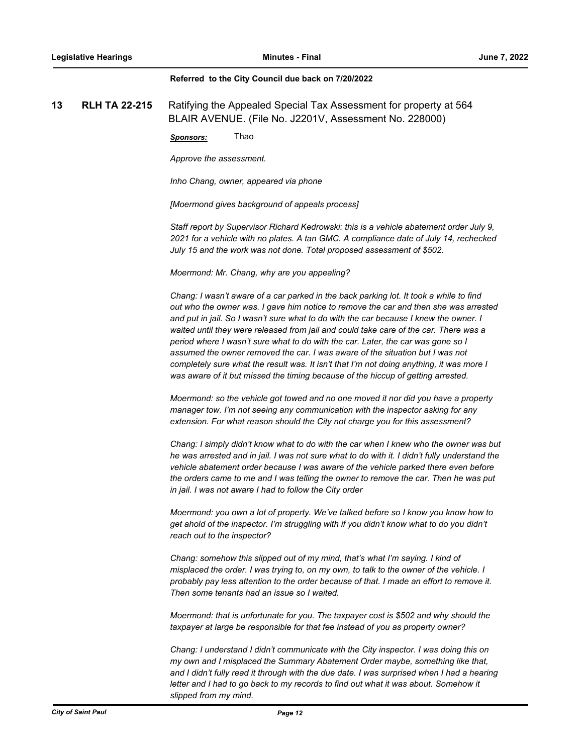#### **Referred to the City Council due back on 7/20/2022**

**13 RLH TA 22-215** Ratifying the Appealed Special Tax Assessment for property at 564 BLAIR AVENUE. (File No. J2201V, Assessment No. 228000)

*Sponsors:* Thao

*Approve the assessment.* 

*Inho Chang, owner, appeared via phone*

*[Moermond gives background of appeals process]*

*Staff report by Supervisor Richard Kedrowski: this is a vehicle abatement order July 9, 2021 for a vehicle with no plates. A tan GMC. A compliance date of July 14, rechecked July 15 and the work was not done. Total proposed assessment of \$502.* 

*Moermond: Mr. Chang, why are you appealing?*

*Chang: I wasn't aware of a car parked in the back parking lot. It took a while to find out who the owner was. I gave him notice to remove the car and then she was arrested and put in jail. So I wasn't sure what to do with the car because I knew the owner. I waited until they were released from jail and could take care of the car. There was a period where I wasn't sure what to do with the car. Later, the car was gone so I assumed the owner removed the car. I was aware of the situation but I was not completely sure what the result was. It isn't that I'm not doing anything, it was more I*  was aware of it but missed the timing because of the hiccup of getting arrested.

*Moermond: so the vehicle got towed and no one moved it nor did you have a property manager tow. I'm not seeing any communication with the inspector asking for any extension. For what reason should the City not charge you for this assessment?*

*Chang: I simply didn't know what to do with the car when I knew who the owner was but he was arrested and in jail. I was not sure what to do with it. I didn't fully understand the vehicle abatement order because I was aware of the vehicle parked there even before the orders came to me and I was telling the owner to remove the car. Then he was put in jail. I was not aware I had to follow the City order*

*Moermond: you own a lot of property. We've talked before so I know you know how to get ahold of the inspector. I'm struggling with if you didn't know what to do you didn't reach out to the inspector?* 

*Chang: somehow this slipped out of my mind, that's what I'm saying. I kind of misplaced the order. I was trying to, on my own, to talk to the owner of the vehicle. I probably pay less attention to the order because of that. I made an effort to remove it. Then some tenants had an issue so I waited.*

*Moermond: that is unfortunate for you. The taxpayer cost is \$502 and why should the taxpayer at large be responsible for that fee instead of you as property owner?*

*Chang: I understand I didn't communicate with the City inspector. I was doing this on my own and I misplaced the Summary Abatement Order maybe, something like that, and I didn't fully read it through with the due date. I was surprised when I had a hearing letter and I had to go back to my records to find out what it was about. Somehow it slipped from my mind.*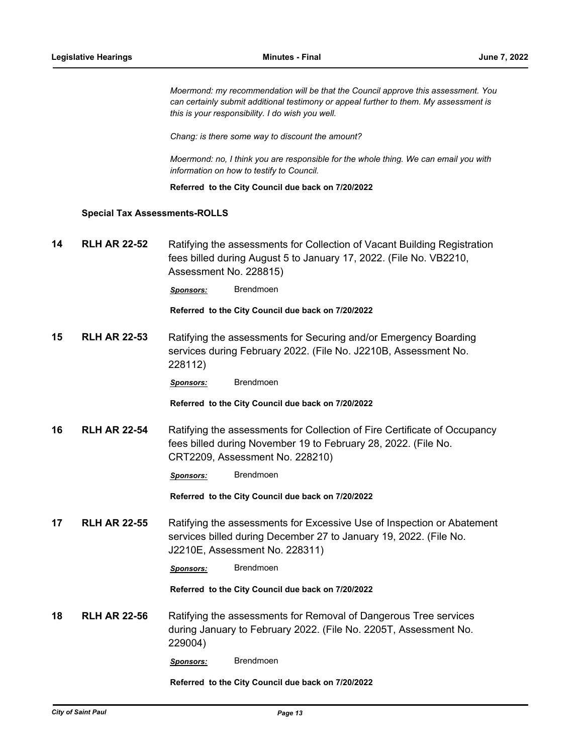*Moermond: my recommendation will be that the Council approve this assessment. You can certainly submit additional testimony or appeal further to them. My assessment is this is your responsibility. I do wish you well.* 

*Chang: is there some way to discount the amount?*

*Moermond: no, I think you are responsible for the whole thing. We can email you with information on how to testify to Council.*

**Referred to the City Council due back on 7/20/2022**

#### **Special Tax Assessments-ROLLS**

**14 RLH AR 22-52** Ratifying the assessments for Collection of Vacant Building Registration fees billed during August 5 to January 17, 2022. (File No. VB2210, Assessment No. 228815)

*Sponsors:* Brendmoen

**Referred to the City Council due back on 7/20/2022**

**15 RLH AR 22-53** Ratifying the assessments for Securing and/or Emergency Boarding services during February 2022. (File No. J2210B, Assessment No. 228112)

*Sponsors:* Brendmoen

**Referred to the City Council due back on 7/20/2022**

**16 RLH AR 22-54** Ratifying the assessments for Collection of Fire Certificate of Occupancy fees billed during November 19 to February 28, 2022. (File No. CRT2209, Assessment No. 228210)

*Sponsors:* Brendmoen

**Referred to the City Council due back on 7/20/2022**

**17 RLH AR 22-55** Ratifying the assessments for Excessive Use of Inspection or Abatement services billed during December 27 to January 19, 2022. (File No. J2210E, Assessment No. 228311)

*Sponsors:* Brendmoen

**Referred to the City Council due back on 7/20/2022**

**18 RLH AR 22-56** Ratifying the assessments for Removal of Dangerous Tree services during January to February 2022. (File No. 2205T, Assessment No. 229004)

*Sponsors:* Brendmoen

**Referred to the City Council due back on 7/20/2022**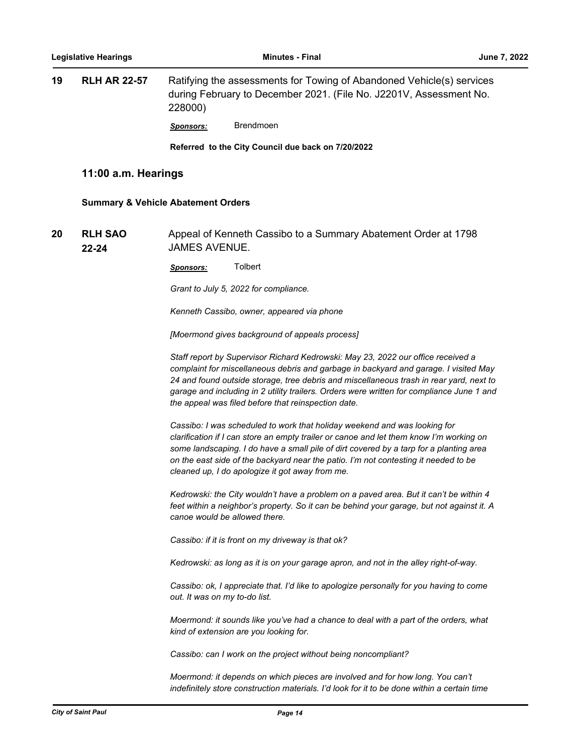| 19 | <b>RLH AR 22-57</b>                                 | 228000)                       | Ratifying the assessments for Towing of Abandoned Vehicle(s) services<br>during February to December 2021. (File No. J2201V, Assessment No.                                                                                                                                                                                                                                                                             |  |  |
|----|-----------------------------------------------------|-------------------------------|-------------------------------------------------------------------------------------------------------------------------------------------------------------------------------------------------------------------------------------------------------------------------------------------------------------------------------------------------------------------------------------------------------------------------|--|--|
|    |                                                     | Sponsors:                     | <b>Brendmoen</b>                                                                                                                                                                                                                                                                                                                                                                                                        |  |  |
|    |                                                     |                               | Referred to the City Council due back on 7/20/2022                                                                                                                                                                                                                                                                                                                                                                      |  |  |
|    | 11:00 a.m. Hearings                                 |                               |                                                                                                                                                                                                                                                                                                                                                                                                                         |  |  |
|    | <b>Summary &amp; Vehicle Abatement Orders</b>       |                               |                                                                                                                                                                                                                                                                                                                                                                                                                         |  |  |
| 20 | <b>RLH SAO</b><br><b>JAMES AVENUE.</b><br>$22 - 24$ |                               | Appeal of Kenneth Cassibo to a Summary Abatement Order at 1798                                                                                                                                                                                                                                                                                                                                                          |  |  |
|    |                                                     | <b>Sponsors:</b>              | Tolbert                                                                                                                                                                                                                                                                                                                                                                                                                 |  |  |
|    |                                                     |                               | Grant to July 5, 2022 for compliance.                                                                                                                                                                                                                                                                                                                                                                                   |  |  |
|    |                                                     |                               | Kenneth Cassibo, owner, appeared via phone                                                                                                                                                                                                                                                                                                                                                                              |  |  |
|    |                                                     |                               | [Moermond gives background of appeals process]                                                                                                                                                                                                                                                                                                                                                                          |  |  |
|    |                                                     |                               | Staff report by Supervisor Richard Kedrowski: May 23, 2022 our office received a<br>complaint for miscellaneous debris and garbage in backyard and garage. I visited May<br>24 and found outside storage, tree debris and miscellaneous trash in rear yard, next to<br>garage and including in 2 utility trailers. Orders were written for compliance June 1 and<br>the appeal was filed before that reinspection date. |  |  |
|    |                                                     |                               | Cassibo: I was scheduled to work that holiday weekend and was looking for<br>clarification if I can store an empty trailer or canoe and let them know I'm working on<br>some landscaping. I do have a small pile of dirt covered by a tarp for a planting area<br>on the east side of the backyard near the patio. I'm not contesting it needed to be<br>cleaned up, I do apologize it got away from me.                |  |  |
|    |                                                     |                               | Kedrowski: the City wouldn't have a problem on a paved area. But it can't be within 4<br>feet within a neighbor's property. So it can be behind your garage, but not against it. A<br>canoe would be allowed there.                                                                                                                                                                                                     |  |  |
|    |                                                     |                               | Cassibo: if it is front on my driveway is that ok?                                                                                                                                                                                                                                                                                                                                                                      |  |  |
|    |                                                     |                               | Kedrowski: as long as it is on your garage apron, and not in the alley right-of-way.                                                                                                                                                                                                                                                                                                                                    |  |  |
|    |                                                     | out. It was on my to-do list. | Cassibo: ok, I appreciate that. I'd like to apologize personally for you having to come                                                                                                                                                                                                                                                                                                                                 |  |  |
|    |                                                     |                               | Moermond: it sounds like you've had a chance to deal with a part of the orders, what<br>kind of extension are you looking for.                                                                                                                                                                                                                                                                                          |  |  |
|    |                                                     |                               | Cassibo: can I work on the project without being noncompliant?                                                                                                                                                                                                                                                                                                                                                          |  |  |
|    |                                                     |                               | Moermond: it depends on which pieces are involved and for how long. You can't<br>indefinitely store construction materials. I'd look for it to be done within a certain time                                                                                                                                                                                                                                            |  |  |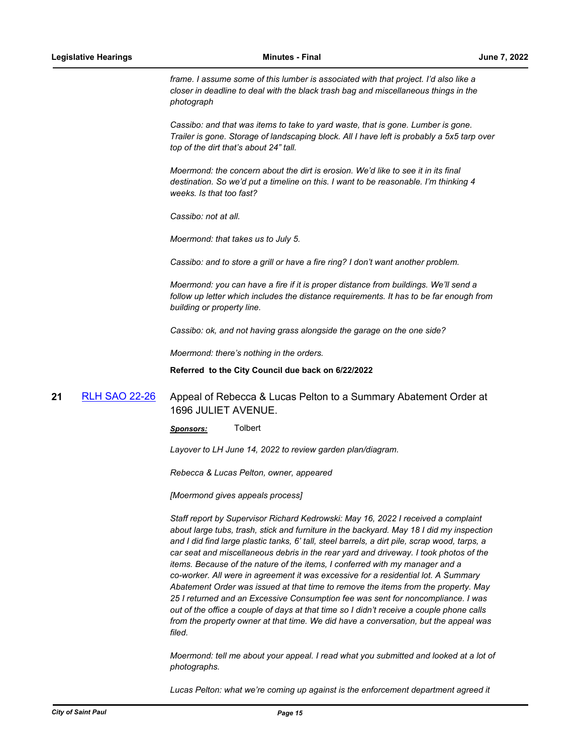*frame. I assume some of this lumber is associated with that project. I'd also like a closer in deadline to deal with the black trash bag and miscellaneous things in the photograph*

*Cassibo: and that was items to take to yard waste, that is gone. Lumber is gone. Trailer is gone. Storage of landscaping block. All I have left is probably a 5x5 tarp over top of the dirt that's about 24" tall.* 

*Moermond: the concern about the dirt is erosion. We'd like to see it in its final destination. So we'd put a timeline on this. I want to be reasonable. I'm thinking 4 weeks. Is that too fast?*

*Cassibo: not at all.* 

*Moermond: that takes us to July 5.* 

*Cassibo: and to store a grill or have a fire ring? I don't want another problem.*

*Moermond: you can have a fire if it is proper distance from buildings. We'll send a follow up letter which includes the distance requirements. It has to be far enough from building or property line.* 

*Cassibo: ok, and not having grass alongside the garage on the one side?*

*Moermond: there's nothing in the orders.*

**Referred to the City Council due back on 6/22/2022**

# **21** [RLH SAO 22-26](http://stpaul.legistar.com/gateway.aspx?m=l&id=/matter.aspx?key=41958) Appeal of Rebecca & Lucas Pelton to a Summary Abatement Order at 1696 JULIET AVENUE.

*Sponsors:* Tolbert

*Layover to LH June 14, 2022 to review garden plan/diagram.* 

*Rebecca & Lucas Pelton, owner, appeared* 

*[Moermond gives appeals process]*

*Staff report by Supervisor Richard Kedrowski: May 16, 2022 I received a complaint about large tubs, trash, stick and furniture in the backyard. May 18 I did my inspection and I did find large plastic tanks, 6' tall, steel barrels, a dirt pile, scrap wood, tarps, a car seat and miscellaneous debris in the rear yard and driveway. I took photos of the items. Because of the nature of the items, I conferred with my manager and a co-worker. All were in agreement it was excessive for a residential lot. A Summary Abatement Order was issued at that time to remove the items from the property. May 25 I returned and an Excessive Consumption fee was sent for noncompliance. I was out of the office a couple of days at that time so I didn't receive a couple phone calls from the property owner at that time. We did have a conversation, but the appeal was filed.*

*Moermond: tell me about your appeal. I read what you submitted and looked at a lot of photographs.* 

*Lucas Pelton: what we're coming up against is the enforcement department agreed it*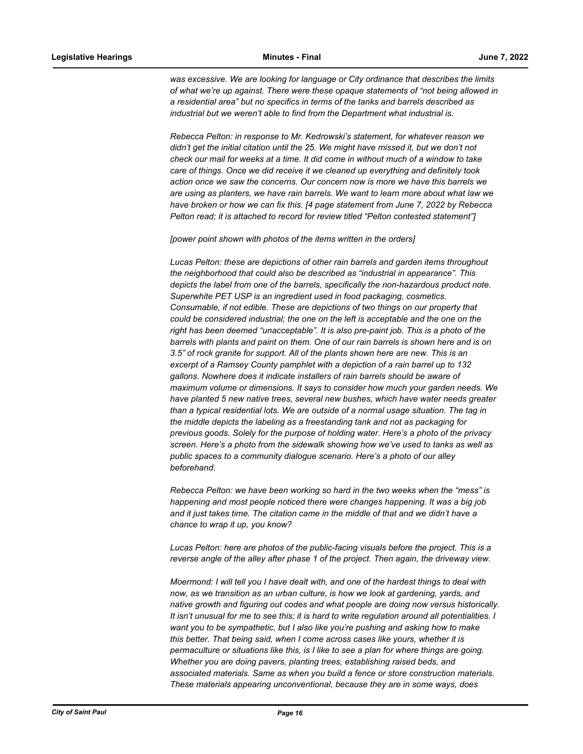*was excessive. We are looking for language or City ordinance that describes the limits of what we're up against. There were these opaque statements of "not being allowed in a residential area" but no specifics in terms of the tanks and barrels described as industrial but we weren't able to find from the Department what industrial is.* 

*Rebecca Pelton: in response to Mr. Kedrowski's statement, for whatever reason we didn't get the initial citation until the 25. We might have missed it, but we don't not check our mail for weeks at a time. It did come in without much of a window to take care of things. Once we did receive it we cleaned up everything and definitely took action once we saw the concerns. Our concern now is more we have this barrels we are using as planters, we have rain barrels. We want to learn more about what law we have broken or how we can fix this. [4 page statement from June 7, 2022 by Rebecca Pelton read; it is attached to record for review titled "Pelton contested statement"]*

*[power point shown with photos of the items written in the orders]*

*Lucas Pelton: these are depictions of other rain barrels and garden items throughout the neighborhood that could also be described as "industrial in appearance". This depicts the label from one of the barrels, specifically the non-hazardous product note. Superwhite PET USP is an ingredient used in food packaging, cosmetics. Consumable, if not edible. These are depictions of two things on our property that could be considered industrial; the one on the left is acceptable and the one on the right has been deemed "unacceptable". It is also pre-paint job. This is a photo of the barrels with plants and paint on them. One of our rain barrels is shown here and is on 3.5" of rock granite for support. All of the plants shown here are new. This is an excerpt of a Ramsey County pamphlet with a depiction of a rain barrel up to 132 gallons. Nowhere does it indicate installers of rain barrels should be aware of maximum volume or dimensions. It says to consider how much your garden needs. We have planted 5 new native trees, several new bushes, which have water needs greater than a typical residential lots. We are outside of a normal usage situation. The tag in the middle depicts the labeling as a freestanding tank and not as packaging for previous goods. Solely for the purpose of holding water. Here's a photo of the privacy screen. Here's a photo from the sidewalk showing how we've used to tanks as well as public spaces to a community dialogue scenario. Here's a photo of our alley beforehand.* 

*Rebecca Pelton: we have been working so hard in the two weeks when the "mess" is happening and most people noticed there were changes happening. It was a big job and it just takes time. The citation came in the middle of that and we didn't have a chance to wrap it up, you know?*

*Lucas Pelton: here are photos of the public-facing visuals before the project. This is a reverse angle of the alley after phase 1 of the project. Then again, the driveway view.* 

*Moermond: I will tell you I have dealt with, and one of the hardest things to deal with now, as we transition as an urban culture, is how we look at gardening, yards, and native growth and figuring out codes and what people are doing now versus historically. It isn't unusual for me to see this; it is hard to write regulation around all potentialities. I want you to be sympathetic, but I also like you're pushing and asking how to make this better. That being said, when I come across cases like yours, whether it is permaculture or situations like this, is I like to see a plan for where things are going. Whether you are doing pavers, planting trees, establishing raised beds, and associated materials. Same as when you build a fence or store construction materials. These materials appearing unconventional, because they are in some ways, does*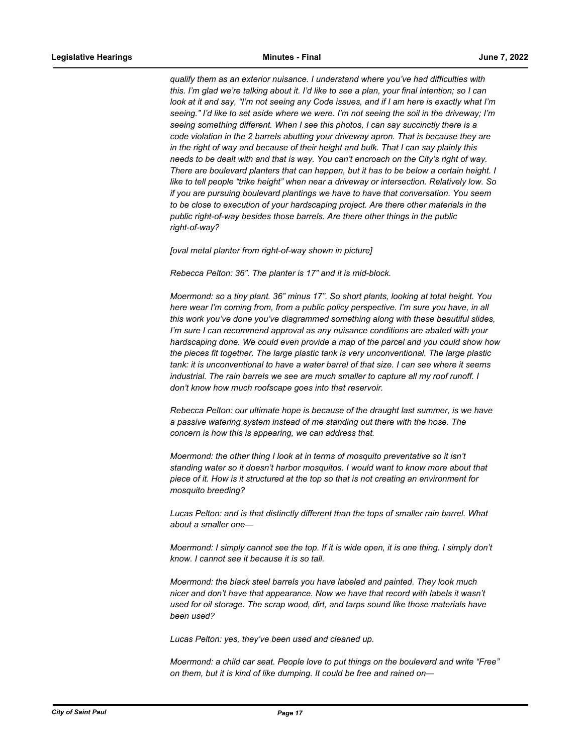*qualify them as an exterior nuisance. I understand where you've had difficulties with this. I'm glad we're talking about it. I'd like to see a plan, your final intention; so I can look at it and say, "I'm not seeing any Code issues, and if I am here is exactly what I'm seeing." I'd like to set aside where we were. I'm not seeing the soil in the driveway; I'm seeing something different. When I see this photos, I can say succinctly there is a code violation in the 2 barrels abutting your driveway apron. That is because they are in the right of way and because of their height and bulk. That I can say plainly this needs to be dealt with and that is way. You can't encroach on the City's right of way. There are boulevard planters that can happen, but it has to be below a certain height. I like to tell people "trike height" when near a driveway or intersection. Relatively low. So if you are pursuing boulevard plantings we have to have that conversation. You seem to be close to execution of your hardscaping project. Are there other materials in the public right-of-way besides those barrels. Are there other things in the public right-of-way?*

*[oval metal planter from right-of-way shown in picture]*

*Rebecca Pelton: 36". The planter is 17" and it is mid-block.* 

*Moermond: so a tiny plant. 36" minus 17". So short plants, looking at total height. You here wear I'm coming from, from a public policy perspective. I'm sure you have, in all this work you've done you've diagrammed something along with these beautiful slides, I'm sure I can recommend approval as any nuisance conditions are abated with your hardscaping done. We could even provide a map of the parcel and you could show how the pieces fit together. The large plastic tank is very unconventional. The large plastic tank: it is unconventional to have a water barrel of that size. I can see where it seems industrial. The rain barrels we see are much smaller to capture all my roof runoff. I don't know how much roofscape goes into that reservoir.* 

*Rebecca Pelton: our ultimate hope is because of the draught last summer, is we have a passive watering system instead of me standing out there with the hose. The concern is how this is appearing, we can address that.*

*Moermond: the other thing I look at in terms of mosquito preventative so it isn't standing water so it doesn't harbor mosquitos. I would want to know more about that piece of it. How is it structured at the top so that is not creating an environment for mosquito breeding?*

*Lucas Pelton: and is that distinctly different than the tops of smaller rain barrel. What about a smaller one—*

*Moermond: I simply cannot see the top. If it is wide open, it is one thing. I simply don't know. I cannot see it because it is so tall.* 

*Moermond: the black steel barrels you have labeled and painted. They look much nicer and don't have that appearance. Now we have that record with labels it wasn't used for oil storage. The scrap wood, dirt, and tarps sound like those materials have been used?*

*Lucas Pelton: yes, they've been used and cleaned up.*

*Moermond: a child car seat. People love to put things on the boulevard and write "Free" on them, but it is kind of like dumping. It could be free and rained on—*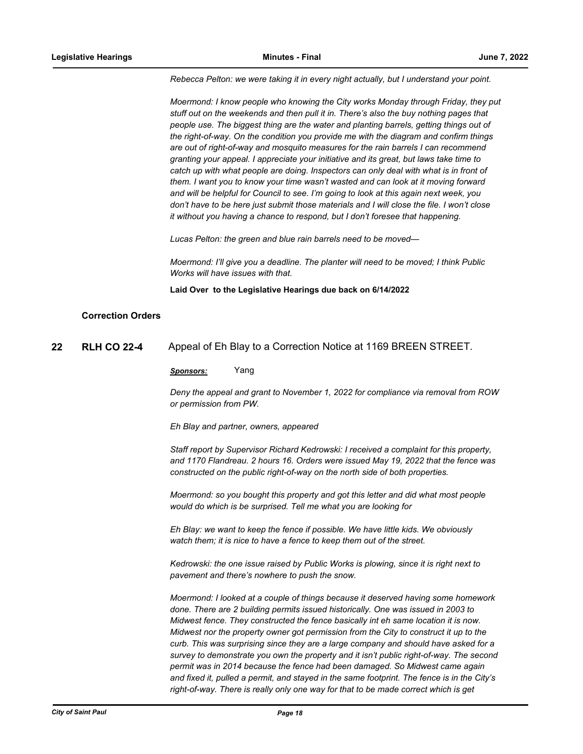*Rebecca Pelton: we were taking it in every night actually, but I understand your point.*

*Moermond: I know people who knowing the City works Monday through Friday, they put stuff out on the weekends and then pull it in. There's also the buy nothing pages that people use. The biggest thing are the water and planting barrels, getting things out of the right-of-way. On the condition you provide me with the diagram and confirm things are out of right-of-way and mosquito measures for the rain barrels I can recommend granting your appeal. I appreciate your initiative and its great, but laws take time to catch up with what people are doing. Inspectors can only deal with what is in front of them. I want you to know your time wasn't wasted and can look at it moving forward and will be helpful for Council to see. I'm going to look at this again next week, you don't have to be here just submit those materials and I will close the file. I won't close it without you having a chance to respond, but I don't foresee that happening.* 

*Lucas Pelton: the green and blue rain barrels need to be moved—*

*Moermond: I'll give you a deadline. The planter will need to be moved; I think Public Works will have issues with that.*

**Laid Over to the Legislative Hearings due back on 6/14/2022**

## **Correction Orders**

**22 RLH CO 22-4** Appeal of Eh Blay to a Correction Notice at 1169 BREEN STREET.

#### *Sponsors:* Yang

*Deny the appeal and grant to November 1, 2022 for compliance via removal from ROW or permission from PW.* 

*Eh Blay and partner, owners, appeared*

*Staff report by Supervisor Richard Kedrowski: I received a complaint for this property, and 1170 Flandreau. 2 hours 16. Orders were issued May 19, 2022 that the fence was constructed on the public right-of-way on the north side of both properties.* 

*Moermond: so you bought this property and got this letter and did what most people would do which is be surprised. Tell me what you are looking for*

*Eh Blay: we want to keep the fence if possible. We have little kids. We obviously watch them; it is nice to have a fence to keep them out of the street.*

*Kedrowski: the one issue raised by Public Works is plowing, since it is right next to pavement and there's nowhere to push the snow.* 

*Moermond: I looked at a couple of things because it deserved having some homework done. There are 2 building permits issued historically. One was issued in 2003 to Midwest fence. They constructed the fence basically int eh same location it is now. Midwest nor the property owner got permission from the City to construct it up to the curb. This was surprising since they are a large company and should have asked for a survey to demonstrate you own the property and it isn't public right-of-way. The second permit was in 2014 because the fence had been damaged. So Midwest came again and fixed it, pulled a permit, and stayed in the same footprint. The fence is in the City's right-of-way. There is really only one way for that to be made correct which is get*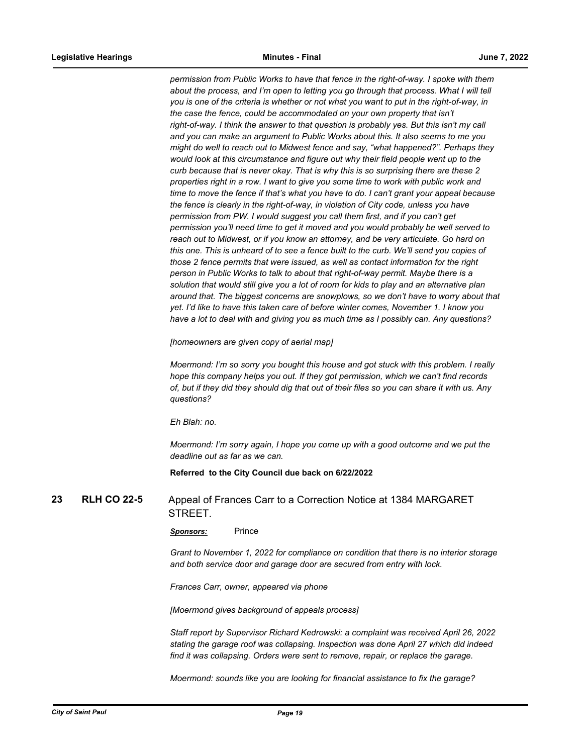*permission from Public Works to have that fence in the right-of-way. I spoke with them about the process, and I'm open to letting you go through that process. What I will tell you is one of the criteria is whether or not what you want to put in the right-of-way, in*  the case the fence, could be accommodated on your own property that isn't *right-of-way. I think the answer to that question is probably yes. But this isn't my call and you can make an argument to Public Works about this. It also seems to me you might do well to reach out to Midwest fence and say, "what happened?". Perhaps they would look at this circumstance and figure out why their field people went up to the curb because that is never okay. That is why this is so surprising there are these 2 properties right in a row. I want to give you some time to work with public work and time to move the fence if that's what you have to do. I can't grant your appeal because the fence is clearly in the right-of-way, in violation of City code, unless you have permission from PW. I would suggest you call them first, and if you can't get permission you'll need time to get it moved and you would probably be well served to reach out to Midwest, or if you know an attorney, and be very articulate. Go hard on this one. This is unheard of to see a fence built to the curb. We'll send you copies of those 2 fence permits that were issued, as well as contact information for the right person in Public Works to talk to about that right-of-way permit. Maybe there is a solution that would still give you a lot of room for kids to play and an alternative plan around that. The biggest concerns are snowplows, so we don't have to worry about that yet. I'd like to have this taken care of before winter comes, November 1. I know you have a lot to deal with and giving you as much time as I possibly can. Any questions?*

*[homeowners are given copy of aerial map]*

*Moermond: I'm so sorry you bought this house and got stuck with this problem. I really hope this company helps you out. If they got permission, which we can't find records of, but if they did they should dig that out of their files so you can share it with us. Any questions?*

*Eh Blah: no.*

*Moermond: I'm sorry again, I hope you come up with a good outcome and we put the deadline out as far as we can.*

**Referred to the City Council due back on 6/22/2022**

# **23 RLH CO 22-5** Appeal of Frances Carr to a Correction Notice at 1384 MARGARET STREET.

#### Sponsors: Prince

*Grant to November 1, 2022 for compliance on condition that there is no interior storage and both service door and garage door are secured from entry with lock.* 

*Frances Carr, owner, appeared via phone*

*[Moermond gives background of appeals process]*

*Staff report by Supervisor Richard Kedrowski: a complaint was received April 26, 2022 stating the garage roof was collapsing. Inspection was done April 27 which did indeed find it was collapsing. Orders were sent to remove, repair, or replace the garage.*

*Moermond: sounds like you are looking for financial assistance to fix the garage?*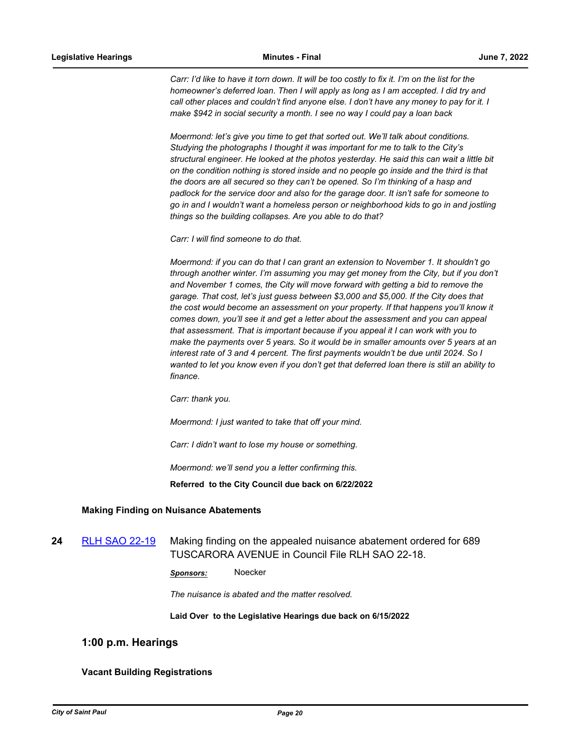Carr: I'd like to have it torn down. It will be too costly to fix it. I'm on the list for the *homeowner's deferred loan. Then I will apply as long as I am accepted. I did try and call other places and couldn't find anyone else. I don't have any money to pay for it. I make \$942 in social security a month. I see no way I could pay a loan back*

*Moermond: let's give you time to get that sorted out. We'll talk about conditions. Studying the photographs I thought it was important for me to talk to the City's structural engineer. He looked at the photos yesterday. He said this can wait a little bit on the condition nothing is stored inside and no people go inside and the third is that the doors are all secured so they can't be opened. So I'm thinking of a hasp and padlock for the service door and also for the garage door. It isn't safe for someone to go in and I wouldn't want a homeless person or neighborhood kids to go in and jostling things so the building collapses. Are you able to do that?*

*Carr: I will find someone to do that.* 

*Moermond: if you can do that I can grant an extension to November 1. It shouldn't go through another winter. I'm assuming you may get money from the City, but if you don't and November 1 comes, the City will move forward with getting a bid to remove the garage. That cost, let's just guess between \$3,000 and \$5,000. If the City does that the cost would become an assessment on your property. If that happens you'll know it comes down, you'll see it and get a letter about the assessment and you can appeal that assessment. That is important because if you appeal it I can work with you to make the payments over 5 years. So it would be in smaller amounts over 5 years at an interest rate of 3 and 4 percent. The first payments wouldn't be due until 2024. So I wanted to let you know even if you don't get that deferred loan there is still an ability to finance.*

*Carr: thank you.*

*Moermond: I just wanted to take that off your mind.*

*Carr: I didn't want to lose my house or something.*

*Moermond: we'll send you a letter confirming this.*

**Referred to the City Council due back on 6/22/2022**

## **Making Finding on Nuisance Abatements**

**24** [RLH SAO 22-19](http://stpaul.legistar.com/gateway.aspx?m=l&id=/matter.aspx?key=41864) Making finding on the appealed nuisance abatement ordered for 689 TUSCARORA AVENUE in Council File RLH SAO 22-18.

*Sponsors:* Noecker

*The nuisance is abated and the matter resolved.*

**Laid Over to the Legislative Hearings due back on 6/15/2022**

## **1:00 p.m. Hearings**

## **Vacant Building Registrations**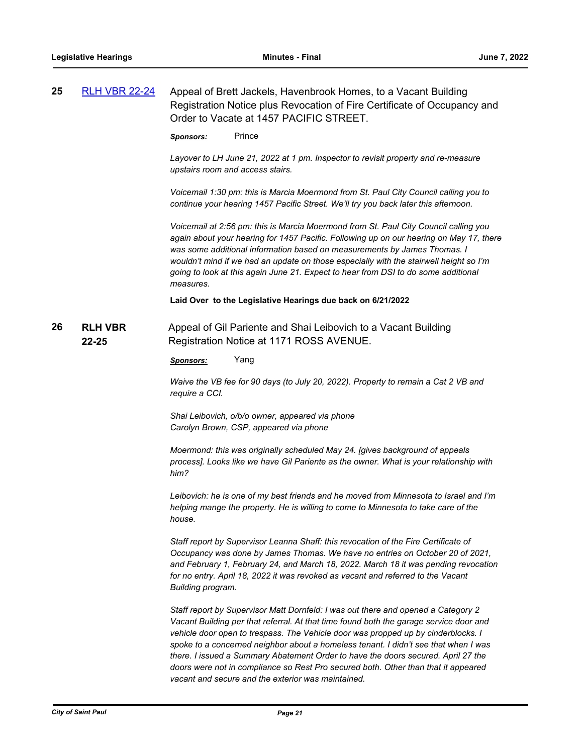| 25 | <b>RLH VBR 22-24</b>    | Appeal of Brett Jackels, Havenbrook Homes, to a Vacant Building<br>Registration Notice plus Revocation of Fire Certificate of Occupancy and<br>Order to Vacate at 1457 PACIFIC STREET.                                                                                                                                                                                                                                                                                                                                                                                                   |  |  |
|----|-------------------------|------------------------------------------------------------------------------------------------------------------------------------------------------------------------------------------------------------------------------------------------------------------------------------------------------------------------------------------------------------------------------------------------------------------------------------------------------------------------------------------------------------------------------------------------------------------------------------------|--|--|
|    |                         | Prince<br><u>Sponsors:</u>                                                                                                                                                                                                                                                                                                                                                                                                                                                                                                                                                               |  |  |
|    |                         | Layover to LH June 21, 2022 at 1 pm. Inspector to revisit property and re-measure<br>upstairs room and access stairs.                                                                                                                                                                                                                                                                                                                                                                                                                                                                    |  |  |
|    |                         | Voicemail 1:30 pm: this is Marcia Moermond from St. Paul City Council calling you to<br>continue your hearing 1457 Pacific Street. We'll try you back later this afternoon.                                                                                                                                                                                                                                                                                                                                                                                                              |  |  |
|    |                         | Voicemail at 2:56 pm: this is Marcia Moermond from St. Paul City Council calling you<br>again about your hearing for 1457 Pacific. Following up on our hearing on May 17, there<br>was some additional information based on measurements by James Thomas. I<br>wouldn't mind if we had an update on those especially with the stairwell height so I'm<br>going to look at this again June 21. Expect to hear from DSI to do some additional<br>measures.                                                                                                                                 |  |  |
|    |                         | Laid Over to the Legislative Hearings due back on 6/21/2022                                                                                                                                                                                                                                                                                                                                                                                                                                                                                                                              |  |  |
| 26 | <b>RLH VBR</b><br>22-25 | Appeal of Gil Pariente and Shai Leibovich to a Vacant Building<br>Registration Notice at 1171 ROSS AVENUE.                                                                                                                                                                                                                                                                                                                                                                                                                                                                               |  |  |
|    |                         | Yang<br><u>Sponsors:</u>                                                                                                                                                                                                                                                                                                                                                                                                                                                                                                                                                                 |  |  |
|    |                         | Waive the VB fee for 90 days (to July 20, 2022). Property to remain a Cat 2 VB and<br>require a CCI.                                                                                                                                                                                                                                                                                                                                                                                                                                                                                     |  |  |
|    |                         | Shai Leibovich, o/b/o owner, appeared via phone<br>Carolyn Brown, CSP, appeared via phone                                                                                                                                                                                                                                                                                                                                                                                                                                                                                                |  |  |
|    |                         | Moermond: this was originally scheduled May 24. [gives background of appeals<br>process]. Looks like we have Gil Pariente as the owner. What is your relationship with<br>him?                                                                                                                                                                                                                                                                                                                                                                                                           |  |  |
|    |                         | Leibovich: he is one of my best friends and he moved from Minnesota to Israel and I'm<br>helping mange the property. He is willing to come to Minnesota to take care of the<br>house.                                                                                                                                                                                                                                                                                                                                                                                                    |  |  |
|    |                         | Staff report by Supervisor Leanna Shaff: this revocation of the Fire Certificate of<br>Occupancy was done by James Thomas. We have no entries on October 20 of 2021,<br>and February 1, February 24, and March 18, 2022. March 18 it was pending revocation<br>for no entry. April 18, 2022 it was revoked as vacant and referred to the Vacant<br>Building program.                                                                                                                                                                                                                     |  |  |
|    |                         | Staff report by Supervisor Matt Dornfeld: I was out there and opened a Category 2<br>Vacant Building per that referral. At that time found both the garage service door and<br>vehicle door open to trespass. The Vehicle door was propped up by cinderblocks. I<br>spoke to a concerned neighbor about a homeless tenant. I didn't see that when I was<br>there. I issued a Summary Abatement Order to have the doors secured. April 27 the<br>doors were not in compliance so Rest Pro secured both. Other than that it appeared<br>vacant and secure and the exterior was maintained. |  |  |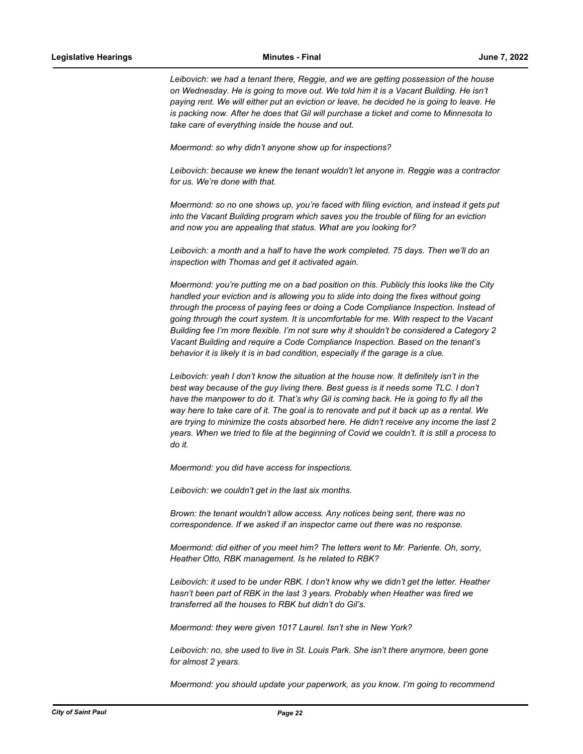*Leibovich: we had a tenant there, Reggie, and we are getting possession of the house on Wednesday. He is going to move out. We told him it is a Vacant Building. He isn't paying rent. We will either put an eviction or leave, he decided he is going to leave. He is packing now. After he does that Gil will purchase a ticket and come to Minnesota to take care of everything inside the house and out.* 

*Moermond: so why didn't anyone show up for inspections?*

*Leibovich: because we knew the tenant wouldn't let anyone in. Reggie was a contractor for us. We're done with that.* 

*Moermond: so no one shows up, you're faced with filing eviction, and instead it gets put into the Vacant Building program which saves you the trouble of filing for an eviction and now you are appealing that status. What are you looking for?*

*Leibovich: a month and a half to have the work completed. 75 days. Then we'll do an inspection with Thomas and get it activated again.*

*Moermond: you're putting me on a bad position on this. Publicly this looks like the City handled your eviction and is allowing you to slide into doing the fixes without going through the process of paying fees or doing a Code Compliance Inspection. Instead of going through the court system. It is uncomfortable for me. With respect to the Vacant Building fee I'm more flexible. I'm not sure why it shouldn't be considered a Category 2 Vacant Building and require a Code Compliance Inspection. Based on the tenant's behavior it is likely it is in bad condition, especially if the garage is a clue.*

*Leibovich: yeah I don't know the situation at the house now. It definitely isn't in the best way because of the guy living there. Best guess is it needs some TLC. I don't have the manpower to do it. That's why Gil is coming back. He is going to fly all the way here to take care of it. The goal is to renovate and put it back up as a rental. We are trying to minimize the costs absorbed here. He didn't receive any income the last 2 years. When we tried to file at the beginning of Covid we couldn't. It is still a process to do it.*

*Moermond: you did have access for inspections.*

*Leibovich: we couldn't get in the last six months.* 

*Brown: the tenant wouldn't allow access. Any notices being sent, there was no correspondence. If we asked if an inspector came out there was no response.* 

*Moermond: did either of you meet him? The letters went to Mr. Pariente. Oh, sorry, Heather Otto, RBK management. Is he related to RBK?*

*Leibovich: it used to be under RBK. I don't know why we didn't get the letter. Heather hasn't been part of RBK in the last 3 years. Probably when Heather was fired we transferred all the houses to RBK but didn't do Gil's.*

*Moermond: they were given 1017 Laurel. Isn't she in New York?*

*Leibovich: no, she used to live in St. Louis Park. She isn't there anymore, been gone for almost 2 years.*

*Moermond: you should update your paperwork, as you know. I'm going to recommend*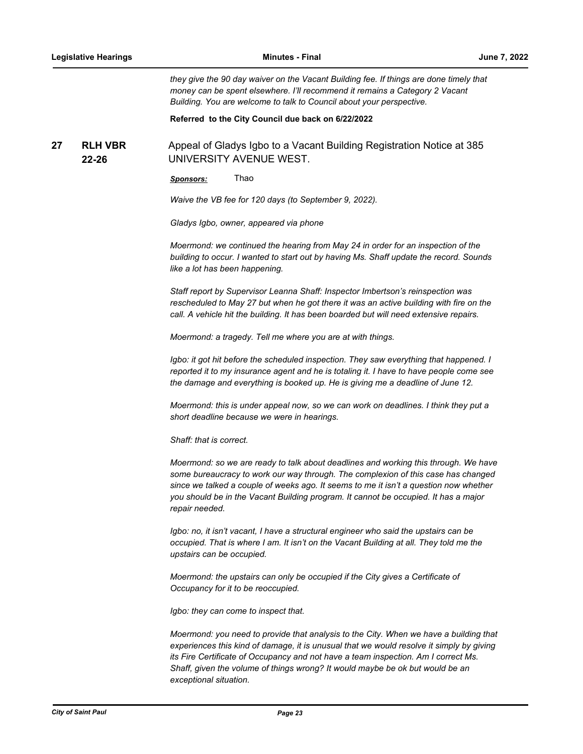*they give the 90 day waiver on the Vacant Building fee. If things are done timely that money can be spent elsewhere. I'll recommend it remains a Category 2 Vacant Building. You are welcome to talk to Council about your perspective.*

**Referred to the City Council due back on 6/22/2022**

**RLH VBR 22-26 27 RLH VBR** Appeal of Gladys Igbo to a Vacant Building Registration Notice at 385 UNIVERSITY AVENUE WEST.

*Sponsors:* Thao

*Waive the VB fee for 120 days (to September 9, 2022).* 

*Gladys Igbo, owner, appeared via phone*

*Moermond: we continued the hearing from May 24 in order for an inspection of the building to occur. I wanted to start out by having Ms. Shaff update the record. Sounds like a lot has been happening.* 

*Staff report by Supervisor Leanna Shaff: Inspector Imbertson's reinspection was rescheduled to May 27 but when he got there it was an active building with fire on the call. A vehicle hit the building. It has been boarded but will need extensive repairs.* 

*Moermond: a tragedy. Tell me where you are at with things.* 

*Igbo: it got hit before the scheduled inspection. They saw everything that happened. I reported it to my insurance agent and he is totaling it. I have to have people come see the damage and everything is booked up. He is giving me a deadline of June 12.* 

*Moermond: this is under appeal now, so we can work on deadlines. I think they put a short deadline because we were in hearings.* 

*Shaff: that is correct.*

*Moermond: so we are ready to talk about deadlines and working this through. We have some bureaucracy to work our way through. The complexion of this case has changed since we talked a couple of weeks ago. It seems to me it isn't a question now whether you should be in the Vacant Building program. It cannot be occupied. It has a major repair needed.* 

*Igbo: no, it isn't vacant, I have a structural engineer who said the upstairs can be occupied. That is where I am. It isn't on the Vacant Building at all. They told me the upstairs can be occupied.*

*Moermond: the upstairs can only be occupied if the City gives a Certificate of Occupancy for it to be reoccupied.*

*Igbo: they can come to inspect that.* 

*Moermond: you need to provide that analysis to the City. When we have a building that experiences this kind of damage, it is unusual that we would resolve it simply by giving its Fire Certificate of Occupancy and not have a team inspection. Am I correct Ms. Shaff, given the volume of things wrong? It would maybe be ok but would be an exceptional situation.*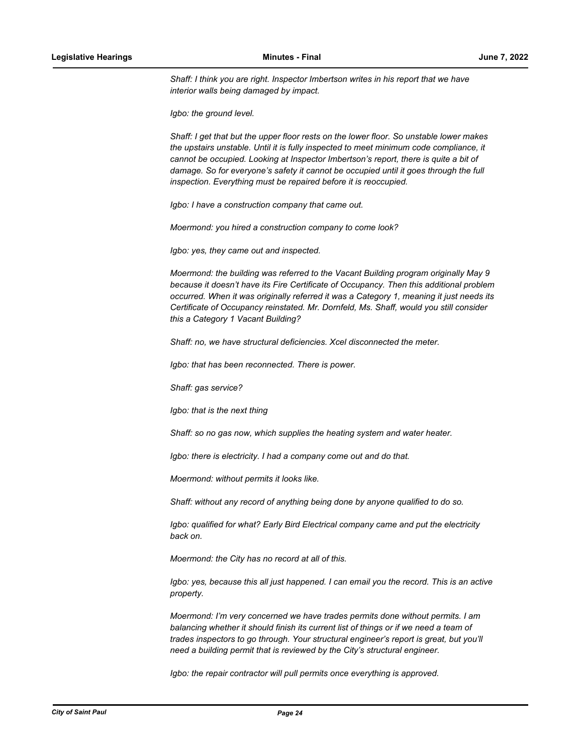Shaff: I think you are right. Inspector Imbertson writes in his report that we have *interior walls being damaged by impact.* 

*Igbo: the ground level.*

*Shaff: I get that but the upper floor rests on the lower floor. So unstable lower makes the upstairs unstable. Until it is fully inspected to meet minimum code compliance, it cannot be occupied. Looking at Inspector Imbertson's report, there is quite a bit of damage. So for everyone's safety it cannot be occupied until it goes through the full inspection. Everything must be repaired before it is reoccupied.* 

*Igbo: I have a construction company that came out.*

*Moermond: you hired a construction company to come look?*

*Igbo: yes, they came out and inspected.*

*Moermond: the building was referred to the Vacant Building program originally May 9 because it doesn't have its Fire Certificate of Occupancy. Then this additional problem occurred. When it was originally referred it was a Category 1, meaning it just needs its Certificate of Occupancy reinstated. Mr. Dornfeld, Ms. Shaff, would you still consider this a Category 1 Vacant Building?*

*Shaff: no, we have structural deficiencies. Xcel disconnected the meter.*

*Igbo: that has been reconnected. There is power.* 

*Shaff: gas service?*

*Igbo: that is the next thing*

*Shaff: so no gas now, which supplies the heating system and water heater.* 

*Igbo: there is electricity. I had a company come out and do that.* 

*Moermond: without permits it looks like.*

*Shaff: without any record of anything being done by anyone qualified to do so.* 

*Igbo: qualified for what? Early Bird Electrical company came and put the electricity back on.* 

*Moermond: the City has no record at all of this.*

*Igbo: yes, because this all just happened. I can email you the record. This is an active property.* 

*Moermond: I'm very concerned we have trades permits done without permits. I am balancing whether it should finish its current list of things or if we need a team of trades inspectors to go through. Your structural engineer's report is great, but you'll need a building permit that is reviewed by the City's structural engineer.* 

*Igbo: the repair contractor will pull permits once everything is approved.*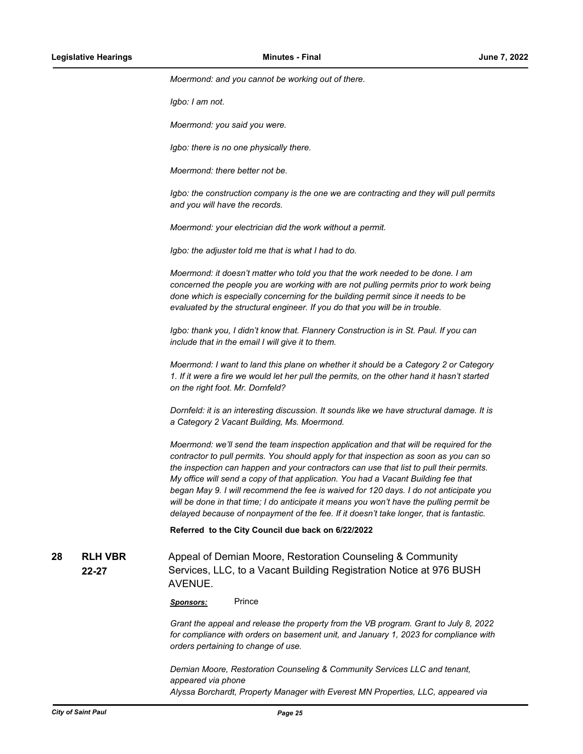*Moermond: and you cannot be working out of there.* 

*Igbo: I am not.*

*Moermond: you said you were.*

*Igbo: there is no one physically there.*

*Moermond: there better not be.* 

*Igbo: the construction company is the one we are contracting and they will pull permits and you will have the records.* 

*Moermond: your electrician did the work without a permit.*

*Igbo: the adjuster told me that is what I had to do.* 

*Moermond: it doesn't matter who told you that the work needed to be done. I am concerned the people you are working with are not pulling permits prior to work being done which is especially concerning for the building permit since it needs to be evaluated by the structural engineer. If you do that you will be in trouble.* 

*Igbo: thank you, I didn't know that. Flannery Construction is in St. Paul. If you can include that in the email I will give it to them.* 

*Moermond: I want to land this plane on whether it should be a Category 2 or Category 1. If it were a fire we would let her pull the permits, on the other hand it hasn't started on the right foot. Mr. Dornfeld?* 

*Dornfeld: it is an interesting discussion. It sounds like we have structural damage. It is a Category 2 Vacant Building, Ms. Moermond.* 

*Moermond: we'll send the team inspection application and that will be required for the contractor to pull permits. You should apply for that inspection as soon as you can so the inspection can happen and your contractors can use that list to pull their permits. My office will send a copy of that application. You had a Vacant Building fee that began May 9. I will recommend the fee is waived for 120 days. I do not anticipate you will be done in that time; I do anticipate it means you won't have the pulling permit be delayed because of nonpayment of the fee. If it doesn't take longer, that is fantastic.*

**Referred to the City Council due back on 6/22/2022**

**RLH VBR 22-27 28 RLH VBR** Appeal of Demian Moore, Restoration Counseling & Community Services, LLC, to a Vacant Building Registration Notice at 976 BUSH AVENUE.

*Sponsors:* Prince

*Grant the appeal and release the property from the VB program. Grant to July 8, 2022 for compliance with orders on basement unit, and January 1, 2023 for compliance with orders pertaining to change of use.* 

*Demian Moore, Restoration Counseling & Community Services LLC and tenant, appeared via phone Alyssa Borchardt, Property Manager with Everest MN Properties, LLC, appeared via*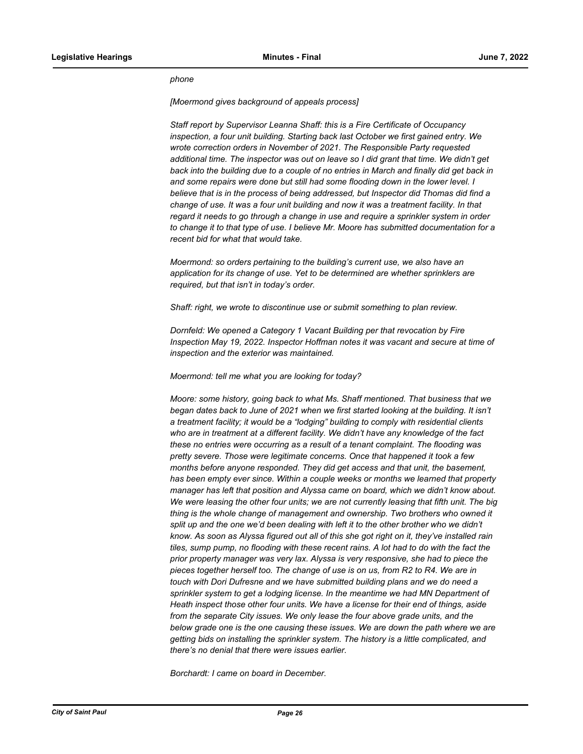## *phone*

*[Moermond gives background of appeals process]*

*Staff report by Supervisor Leanna Shaff: this is a Fire Certificate of Occupancy inspection, a four unit building. Starting back last October we first gained entry. We wrote correction orders in November of 2021. The Responsible Party requested additional time. The inspector was out on leave so I did grant that time. We didn't get back into the building due to a couple of no entries in March and finally did get back in and some repairs were done but still had some flooding down in the lower level. I believe that is in the process of being addressed, but Inspector did Thomas did find a change of use. It was a four unit building and now it was a treatment facility. In that regard it needs to go through a change in use and require a sprinkler system in order to change it to that type of use. I believe Mr. Moore has submitted documentation for a recent bid for what that would take.*

*Moermond: so orders pertaining to the building's current use, we also have an application for its change of use. Yet to be determined are whether sprinklers are required, but that isn't in today's order.* 

*Shaff: right, we wrote to discontinue use or submit something to plan review.*

*Dornfeld: We opened a Category 1 Vacant Building per that revocation by Fire Inspection May 19, 2022. Inspector Hoffman notes it was vacant and secure at time of inspection and the exterior was maintained.* 

*Moermond: tell me what you are looking for today?*

*Moore: some history, going back to what Ms. Shaff mentioned. That business that we began dates back to June of 2021 when we first started looking at the building. It isn't a treatment facility; it would be a "lodging" building to comply with residential clients who are in treatment at a different facility. We didn't have any knowledge of the fact these no entries were occurring as a result of a tenant complaint. The flooding was pretty severe. Those were legitimate concerns. Once that happened it took a few months before anyone responded. They did get access and that unit, the basement, has been empty ever since. Within a couple weeks or months we learned that property manager has left that position and Alyssa came on board, which we didn't know about. We were leasing the other four units; we are not currently leasing that fifth unit. The big thing is the whole change of management and ownership. Two brothers who owned it split up and the one we'd been dealing with left it to the other brother who we didn't know. As soon as Alyssa figured out all of this she got right on it, they've installed rain tiles, sump pump, no flooding with these recent rains. A lot had to do with the fact the prior property manager was very lax. Alyssa is very responsive, she had to piece the pieces together herself too. The change of use is on us, from R2 to R4. We are in touch with Dori Dufresne and we have submitted building plans and we do need a sprinkler system to get a lodging license. In the meantime we had MN Department of Heath inspect those other four units. We have a license for their end of things, aside from the separate City issues. We only lease the four above grade units, and the below grade one is the one causing these issues. We are down the path where we are getting bids on installing the sprinkler system. The history is a little complicated, and there's no denial that there were issues earlier.* 

*Borchardt: I came on board in December.*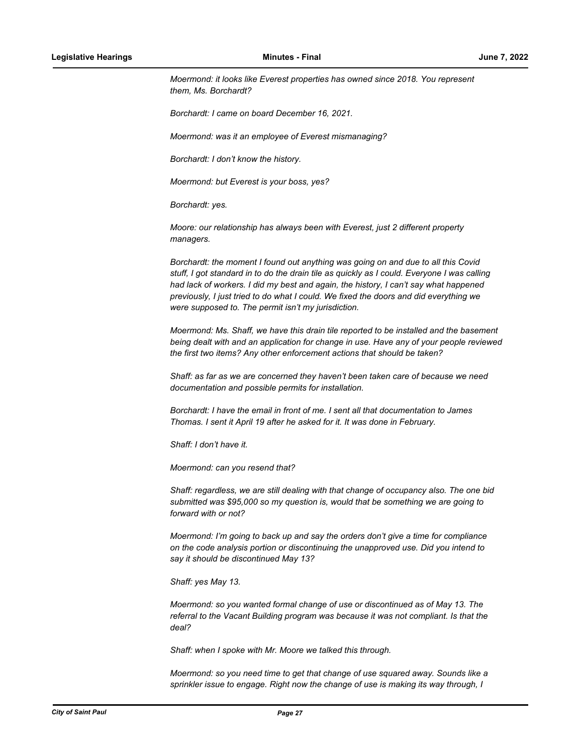*Moermond: it looks like Everest properties has owned since 2018. You represent them, Ms. Borchardt?* 

*Borchardt: I came on board December 16, 2021.*

*Moermond: was it an employee of Everest mismanaging?* 

*Borchardt: I don't know the history.* 

*Moermond: but Everest is your boss, yes?*

*Borchardt: yes.*

*Moore: our relationship has always been with Everest, just 2 different property managers.* 

*Borchardt: the moment I found out anything was going on and due to all this Covid stuff, I got standard in to do the drain tile as quickly as I could. Everyone I was calling had lack of workers. I did my best and again, the history, I can't say what happened previously, I just tried to do what I could. We fixed the doors and did everything we were supposed to. The permit isn't my jurisdiction.*

*Moermond: Ms. Shaff, we have this drain tile reported to be installed and the basement being dealt with and an application for change in use. Have any of your people reviewed the first two items? Any other enforcement actions that should be taken?*

*Shaff: as far as we are concerned they haven't been taken care of because we need documentation and possible permits for installation.*

*Borchardt: I have the email in front of me. I sent all that documentation to James Thomas. I sent it April 19 after he asked for it. It was done in February.* 

*Shaff: I don't have it.* 

*Moermond: can you resend that?*

*Shaff: regardless, we are still dealing with that change of occupancy also. The one bid submitted was \$95,000 so my question is, would that be something we are going to forward with or not?*

*Moermond: I'm going to back up and say the orders don't give a time for compliance on the code analysis portion or discontinuing the unapproved use. Did you intend to say it should be discontinued May 13?*

*Shaff: yes May 13.*

*Moermond: so you wanted formal change of use or discontinued as of May 13. The referral to the Vacant Building program was because it was not compliant. Is that the deal?* 

*Shaff: when I spoke with Mr. Moore we talked this through.* 

*Moermond: so you need time to get that change of use squared away. Sounds like a sprinkler issue to engage. Right now the change of use is making its way through, I*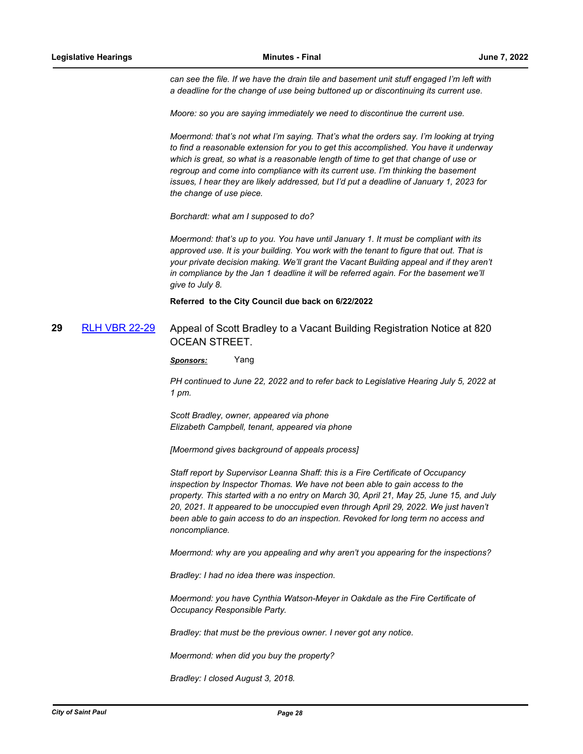*can see the file. If we have the drain tile and basement unit stuff engaged I'm left with a deadline for the change of use being buttoned up or discontinuing its current use.* 

*Moore: so you are saying immediately we need to discontinue the current use.* 

*Moermond: that's not what I'm saying. That's what the orders say. I'm looking at trying to find a reasonable extension for you to get this accomplished. You have it underway which is great, so what is a reasonable length of time to get that change of use or regroup and come into compliance with its current use. I'm thinking the basement issues, I hear they are likely addressed, but I'd put a deadline of January 1, 2023 for the change of use piece.* 

*Borchardt: what am I supposed to do?*

*Moermond: that's up to you. You have until January 1. It must be compliant with its approved use. It is your building. You work with the tenant to figure that out. That is your private decision making. We'll grant the Vacant Building appeal and if they aren't in compliance by the Jan 1 deadline it will be referred again. For the basement we'll give to July 8.*

**Referred to the City Council due back on 6/22/2022**

## **29** [RLH VBR 22-29](http://stpaul.legistar.com/gateway.aspx?m=l&id=/matter.aspx?key=41960) Appeal of Scott Bradley to a Vacant Building Registration Notice at 820 OCEAN STREET.

*Sponsors:* Yang

*PH continued to June 22, 2022 and to refer back to Legislative Hearing July 5, 2022 at 1 pm.* 

*Scott Bradley, owner, appeared via phone Elizabeth Campbell, tenant, appeared via phone*

*[Moermond gives background of appeals process]*

*Staff report by Supervisor Leanna Shaff: this is a Fire Certificate of Occupancy inspection by Inspector Thomas. We have not been able to gain access to the property. This started with a no entry on March 30, April 21, May 25, June 15, and July 20, 2021. It appeared to be unoccupied even through April 29, 2022. We just haven't been able to gain access to do an inspection. Revoked for long term no access and noncompliance.*

*Moermond: why are you appealing and why aren't you appearing for the inspections?*

*Bradley: I had no idea there was inspection.*

*Moermond: you have Cynthia Watson-Meyer in Oakdale as the Fire Certificate of Occupancy Responsible Party.* 

*Bradley: that must be the previous owner. I never got any notice.*

*Moermond: when did you buy the property?*

*Bradley: I closed August 3, 2018.*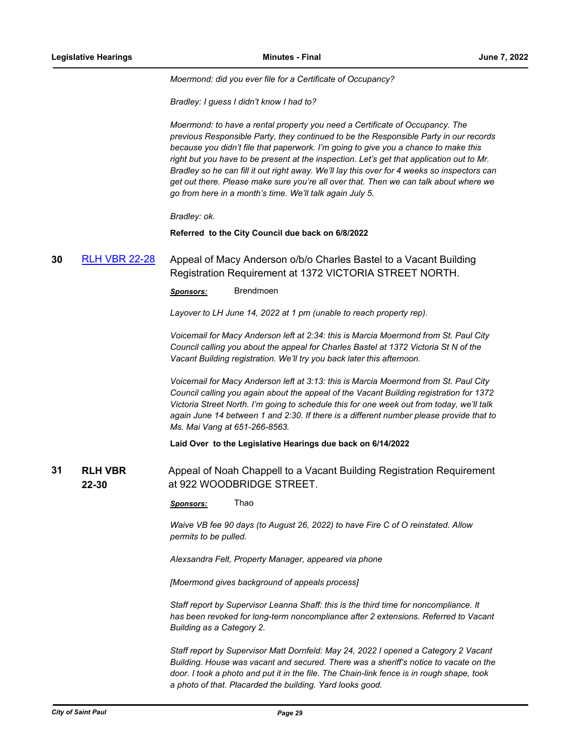*Moermond: did you ever file for a Certificate of Occupancy?* 

*Bradley: I guess I didn't know I had to?*

*Moermond: to have a rental property you need a Certificate of Occupancy. The previous Responsible Party, they continued to be the Responsible Party in our records because you didn't file that paperwork. I'm going to give you a chance to make this right but you have to be present at the inspection. Let's get that application out to Mr. Bradley so he can fill it out right away. We'll lay this over for 4 weeks so inspectors can get out there. Please make sure you're all over that. Then we can talk about where we go from here in a month's time. We'll talk again July 5.* 

*Bradley: ok.*

**Referred to the City Council due back on 6/8/2022**

# **30** [RLH VBR 22-28](http://stpaul.legistar.com/gateway.aspx?m=l&id=/matter.aspx?key=41937) Appeal of Macy Anderson o/b/o Charles Bastel to a Vacant Building Registration Requirement at 1372 VICTORIA STREET NORTH.

*Sponsors:* Brendmoen

*Layover to LH June 14, 2022 at 1 pm (unable to reach property rep).* 

*Voicemail for Macy Anderson left at 2:34: this is Marcia Moermond from St. Paul City Council calling you about the appeal for Charles Bastel at 1372 Victoria St N of the Vacant Building registration. We'll try you back later this afternoon.* 

*Voicemail for Macy Anderson left at 3:13: this is Marcia Moermond from St. Paul City Council calling you again about the appeal of the Vacant Building registration for 1372 Victoria Street North. I'm going to schedule this for one week out from today, we'll talk again June 14 between 1 and 2:30. If there is a different number please provide that to Ms. Mai Vang at 651-266-8563.*

**Laid Over to the Legislative Hearings due back on 6/14/2022**

**RLH VBR 22-30 31 RLH VBR** Appeal of Noah Chappell to a Vacant Building Registration Requirement at 922 WOODBRIDGE STREET.

*Sponsors:* Thao

*Waive VB fee 90 days (to August 26, 2022) to have Fire C of O reinstated. Allow permits to be pulled.* 

*Alexsandra Felt, Property Manager, appeared via phone*

*[Moermond gives background of appeals process]*

*Staff report by Supervisor Leanna Shaff: this is the third time for noncompliance. It has been revoked for long-term noncompliance after 2 extensions. Referred to Vacant Building as a Category 2.* 

*Staff report by Supervisor Matt Dornfeld: May 24, 2022 I opened a Category 2 Vacant Building. House was vacant and secured. There was a sheriff's notice to vacate on the door. I took a photo and put it in the file. The Chain-link fence is in rough shape, took a photo of that. Placarded the building. Yard looks good.*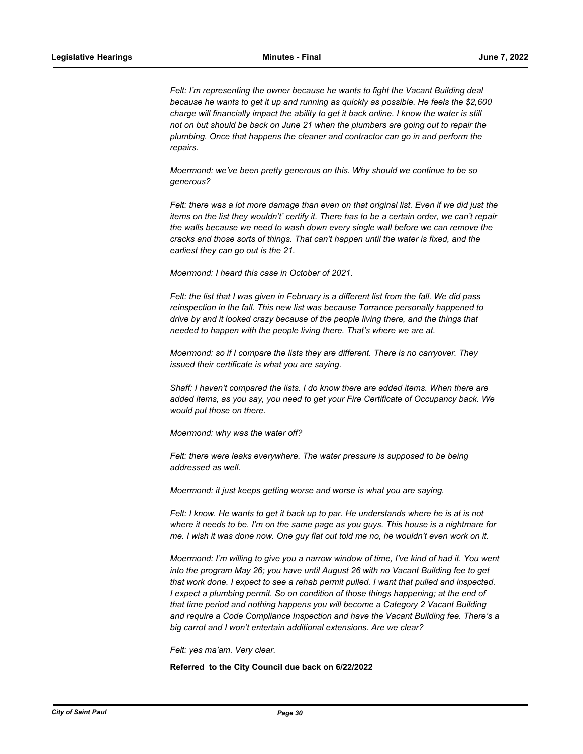*Felt: I'm representing the owner because he wants to fight the Vacant Building deal because he wants to get it up and running as quickly as possible. He feels the \$2,600 charge will financially impact the ability to get it back online. I know the water is still not on but should be back on June 21 when the plumbers are going out to repair the plumbing. Once that happens the cleaner and contractor can go in and perform the repairs.* 

*Moermond: we've been pretty generous on this. Why should we continue to be so generous?*

*Felt: there was a lot more damage than even on that original list. Even if we did just the items on the list they wouldn't' certify it. There has to be a certain order, we can't repair the walls because we need to wash down every single wall before we can remove the cracks and those sorts of things. That can't happen until the water is fixed, and the earliest they can go out is the 21.*

*Moermond: I heard this case in October of 2021.* 

*Felt: the list that I was given in February is a different list from the fall. We did pass reinspection in the fall. This new list was because Torrance personally happened to drive by and it looked crazy because of the people living there, and the things that needed to happen with the people living there. That's where we are at.* 

*Moermond: so if I compare the lists they are different. There is no carryover. They issued their certificate is what you are saying.*

*Shaff: I haven't compared the lists. I do know there are added items. When there are added items, as you say, you need to get your Fire Certificate of Occupancy back. We would put those on there.* 

*Moermond: why was the water off?*

Felt: there were leaks everywhere. The water pressure is supposed to be being *addressed as well.* 

*Moermond: it just keeps getting worse and worse is what you are saying.*

*Felt: I know. He wants to get it back up to par. He understands where he is at is not where it needs to be. I'm on the same page as you guys. This house is a nightmare for me. I wish it was done now. One guy flat out told me no, he wouldn't even work on it.* 

*Moermond: I'm willing to give you a narrow window of time, I've kind of had it. You went into the program May 26; you have until August 26 with no Vacant Building fee to get that work done. I expect to see a rehab permit pulled. I want that pulled and inspected. I* expect a plumbing permit. So on condition of those things happening; at the end of *that time period and nothing happens you will become a Category 2 Vacant Building and require a Code Compliance Inspection and have the Vacant Building fee. There's a big carrot and I won't entertain additional extensions. Are we clear?*

*Felt: yes ma'am. Very clear.*

**Referred to the City Council due back on 6/22/2022**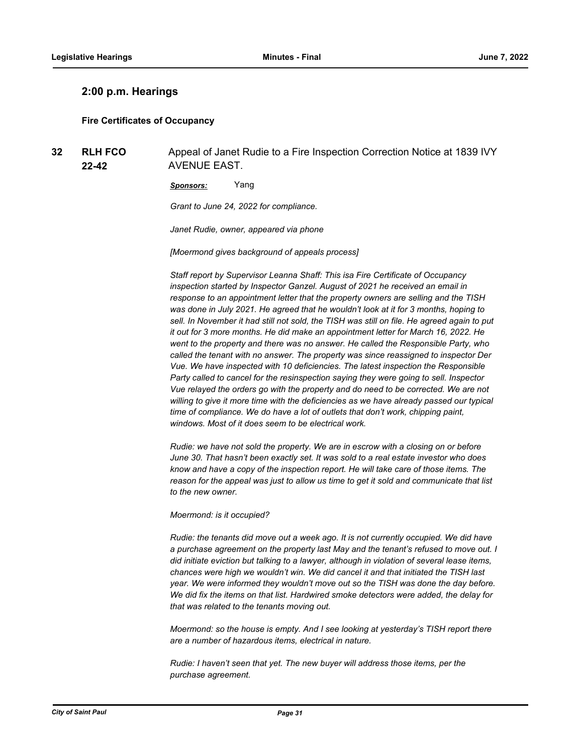## **2:00 p.m. Hearings**

## **Fire Certificates of Occupancy**

**RLH FCO 22-42 32 RLH FCO** Appeal of Janet Rudie to a Fire Inspection Correction Notice at 1839 IVY AVENUE EAST.

*Sponsors:* Yang

*Grant to June 24, 2022 for compliance.* 

*Janet Rudie, owner, appeared via phone*

*[Moermond gives background of appeals process]*

*Staff report by Supervisor Leanna Shaff: This isa Fire Certificate of Occupancy inspection started by Inspector Ganzel. August of 2021 he received an email in response to an appointment letter that the property owners are selling and the TISH was done in July 2021. He agreed that he wouldn't look at it for 3 months, hoping to*  sell. In November it had still not sold, the TISH was still on file. He agreed again to put *it out for 3 more months. He did make an appointment letter for March 16, 2022. He went to the property and there was no answer. He called the Responsible Party, who called the tenant with no answer. The property was since reassigned to inspector Der Vue. We have inspected with 10 deficiencies. The latest inspection the Responsible Party called to cancel for the resinspection saying they were going to sell. Inspector Vue relayed the orders go with the property and do need to be corrected. We are not willing to give it more time with the deficiencies as we have already passed our typical time of compliance. We do have a lot of outlets that don't work, chipping paint, windows. Most of it does seem to be electrical work.*

*Rudie: we have not sold the property. We are in escrow with a closing on or before June 30. That hasn't been exactly set. It was sold to a real estate investor who does know and have a copy of the inspection report. He will take care of those items. The reason for the appeal was just to allow us time to get it sold and communicate that list to the new owner.*

*Moermond: is it occupied?*

*Rudie: the tenants did move out a week ago. It is not currently occupied. We did have a purchase agreement on the property last May and the tenant's refused to move out. I did initiate eviction but talking to a lawyer, although in violation of several lease items, chances were high we wouldn't win. We did cancel it and that initiated the TISH last year. We were informed they wouldn't move out so the TISH was done the day before. We did fix the items on that list. Hardwired smoke detectors were added, the delay for that was related to the tenants moving out.* 

*Moermond: so the house is empty. And I see looking at yesterday's TISH report there are a number of hazardous items, electrical in nature.* 

*Rudie: I haven't seen that yet. The new buyer will address those items, per the purchase agreement.*